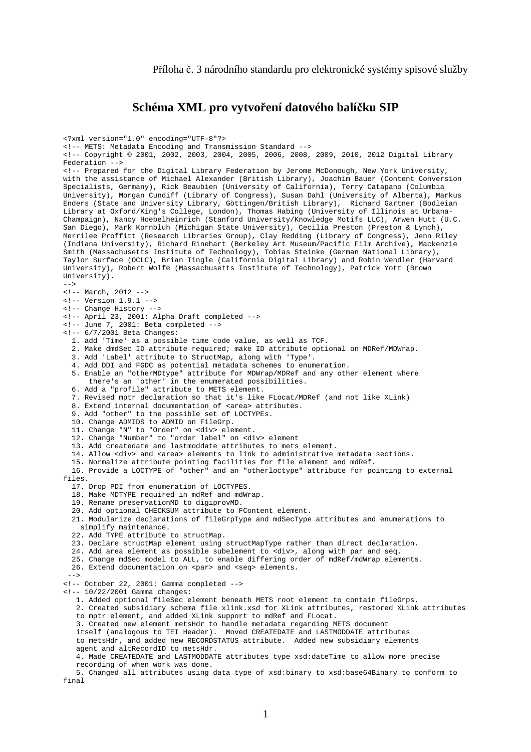## **Schéma XML pro vytvoření datového balíčku SIP**

<?xml version="1.0" encoding="UTF-8"?> <!-- METS: Metadata Encoding and Transmission Standard --> <!-- Copyright © 2001, 2002, 2003, 2004, 2005, 2006, 2008, 2009, 2010, 2012 Digital Library Federation --> <!-- Prepared for the Digital Library Federation by Jerome McDonough, New York University, with the assistance of Michael Alexander (British Library), Joachim Bauer (Content Conversion Specialists, Germany), Rick Beaubien (University of California), Terry Catapano (Columbia University), Morgan Cundiff (Library of Congress), Susan Dahl (University of Alberta), Markus Enders (State and University Library, Göttingen/British Library), Richard Gartner (Bodleian Library at Oxford/King's College, London), Thomas Habing (University of Illinois at Urbana-Champaign), Nancy Hoebelheinrich (Stanford University/Knowledge Motifs LLC), Arwen Hutt (U.C. San Diego), Mark Kornbluh (Michigan State University), Cecilia Preston (Preston & Lynch), Merrilee Proffitt (Research Libraries Group), Clay Redding (Library of Congress), Jenn Riley (Indiana University), Richard Rinehart (Berkeley Art Museum/Pacific Film Archive), Mackenzie Smith (Massachusetts Institute of Technology), Tobias Steinke (German National Library), Taylor Surface (OCLC), Brian Tingle (California Digital Library) and Robin Wendler (Harvard University), Robert Wolfe (Massachusetts Institute of Technology), Patrick Yott (Brown University).  $--$ <!-- March, 2012 --> <!-- Version 1.9.1 --> <!-- Change History --> <!-- April 23, 2001: Alpha Draft completed --> <!-- June 7, 2001: Beta completed --> <!-- 6/7/2001 Beta Changes: 1. add 'Time' as a possible time code value, as well as TCF. 2. Make dmdSec ID attribute required; make ID attribute optional on MDRef/MDWrap. 3. Add 'Label' attribute to StructMap, along with 'Type'. 4. Add DDI and FGDC as potential metadata schemes to enumeration. 5. Enable an "otherMDtype" attribute for MDWrap/MDRef and any other element where there's an 'other' in the enumerated possibilities. 6. Add a "profile" attribute to METS element. 7. Revised mptr declaration so that it's like FLocat/MDRef (and not like XLink) 8. Extend internal documentation of <area> attributes. 9. Add "other" to the possible set of LOCTYPEs. 10. Change ADMIDS to ADMID on FileGrp. 11. Change "N" to "Order" on <div> element. 12. Change "Number" to "order label" on <div> element 13. Add createdate and lastmoddate attributes to mets element. 14. Allow <div> and <area> elements to link to administrative metadata sections. 15. Normalize attribute pointing facilities for file element and mdRef. 16. Provide a LOCTYPE of "other" and an "otherloctype" attribute for pointing to external files. 17. Drop PDI from enumeration of LOCTYPES. 18. Make MDTYPE required in mdRef and mdWrap. 19. Rename preservationMD to digiprovMD. 20. Add optional CHECKSUM attribute to FContent element. 21. Modularize declarations of fileGrpType and mdSecType attributes and enumerations to simplify maintenance. 22. Add TYPE attribute to structMap. 23. Declare structMap element using structMapType rather than direct declaration. 24. Add area element as possible subelement to <div>, along with par and seq. 25. Change mdSec model to ALL, to enable differing order of mdRef/mdWrap elements. 26. Extend documentation on <par> and <seq> elements. --> <!-- October 22, 2001: Gamma completed --> <!-- 10/22/2001 Gamma changes: 1. Added optional fileSec element beneath METS root element to contain fileGrps. 2. Created subsidiary schema file xlink.xsd for XLink attributes, restored XLink attributes to mptr element, and added XLink support to mdRef and FLocat. 3. Created new element metsHdr to handle metadata regarding METS document itself (analogous to TEI Header). Moved CREATEDATE and LASTMODDATE attributes to metsHdr, and added new RECORDSTATUS attribute. Added new subsidiary elements agent and altRecordID to metsHdr. 4. Made CREATEDATE and LASTMODDATE attributes type xsd:dateTime to allow more precise recording of when work was done. 5. Changed all attributes using data type of xsd:binary to xsd:base64Binary to conform to final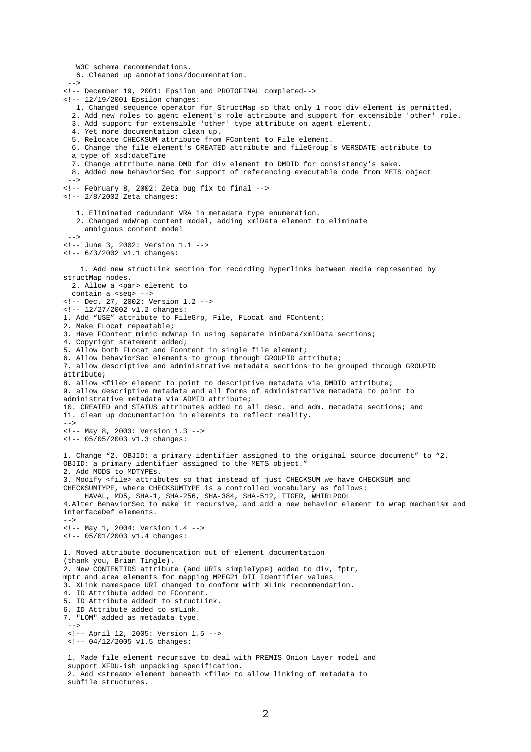W3C schema recommendations. 6. Cleaned up annotations/documentation.  $--&>$ <!-- December 19, 2001: Epsilon and PROTOFINAL completed--> <!-- 12/19/2001 Epsilon changes: 1. Changed sequence operator for StructMap so that only 1 root div element is permitted. 2. Add new roles to agent element's role attribute and support for extensible 'other' role. 3. Add support for extensible 'other' type attribute on agent element. 4. Yet more documentation clean up. 5. Relocate CHECKSUM attribute from FContent to File element. 6. Change the file element's CREATED attribute and fileGroup's VERSDATE attribute to a type of xsd:dateTime 7. Change attribute name DMD for div element to DMDID for consistency's sake. 8. Added new behaviorSec for support of referencing executable code from METS object --> <!-- February 8, 2002: Zeta bug fix to final --> <!-- 2/8/2002 Zeta changes: 1. Eliminated redundant VRA in metadata type enumeration. 2. Changed mdWrap content model, adding xmlData element to eliminate ambiguous content model --> <!-- June 3, 2002: Version 1.1 -->  $\leftarrow$  :-- 6/3/2002 v1.1 changes: 1. Add new structLink section for recording hyperlinks between media represented by structMap nodes. 2. Allow a <par> element to contain a <seq> --> <!-- Dec. 27, 2002: Version 1.2 --> <!-- 12/27/2002 v1.2 changes: 1. Add "USE" attribute to FileGrp, File, FLocat and FContent; 2. Make FLocat repeatable; 3. Have FContent mimic mdWrap in using separate binData/xmlData sections; 4. Copyright statement added; 5. Allow both FLocat and Fcontent in single file element; 6. Allow behaviorSec elements to group through GROUPID attribute; 7. allow descriptive and administrative metadata sections to be grouped through GROUPID attribute; 8. allow <file> element to point to descriptive metadata via DMDID attribute; 9. allow descriptive metadata and all forms of administrative metadata to point to administrative metadata via ADMID attribute; 10. CREATED and STATUS attributes added to all desc. and adm. metadata sections; and 11. clean up documentation in elements to reflect reality.  $--&>$ <!-- May 8, 2003: Version 1.3 --> <!-- 05/05/2003 v1.3 changes: 1. Change "2. OBJID: a primary identifier assigned to the original source document" to "2. OBJID: a primary identifier assigned to the METS object." 2. Add MODS to MDTYPEs. 3. Modify <file> attributes so that instead of just CHECKSUM we have CHECKSUM and CHECKSUMTYPE, where CHECKSUMTYPE is a controlled vocabulary as follows: HAVAL, MD5, SHA-1, SHA-256, SHA-384, SHA-512, TIGER, WHIRLPOOL 4.Alter BehaviorSec to make it recursive, and add a new behavior element to wrap mechanism and interfaceDef elements. --> <!-- May 1, 2004: Version 1.4 --> <!-- 05/01/2003 v1.4 changes: 1. Moved attribute documentation out of element documentation (thank you, Brian Tingle). 2. New CONTENTIDS attribute (and URIs simpleType) added to div, fptr, mptr and area elements for mapping MPEG21 DII Identifier values 3. XLink namespace URI changed to conform with XLink recommendation. 4. ID Attribute added to FContent. 5. ID Attribute addedt to structLink. 6. ID Attribute added to smLink. 7. "LOM" added as metadata type. --> <!-- April 12, 2005: Version 1.5 --> <!-- 04/12/2005 v1.5 changes: 1. Made file element recursive to deal with PREMIS Onion Layer model and support XFDU-ish unpacking specification. 2. Add <stream> element beneath <file> to allow linking of metadata to subfile structures.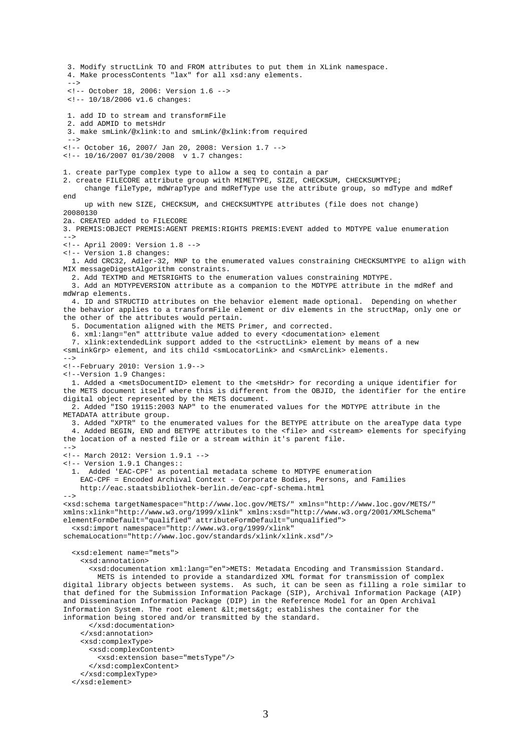3. Modify structLink TO and FROM attributes to put them in XLink namespace. 4. Make processContents "lax" for all xsd:any elements.  $--&>$  <!-- October 18, 2006: Version 1.6 --> <!-- 10/18/2006 v1.6 changes: 1. add ID to stream and transformFile 2. add ADMID to metsHdr 3. make smLink/@xlink:to and smLink/@xlink:from required --> <!-- October 16, 2007/ Jan 20, 2008: Version 1.7 --> <!-- 10/16/2007 01/30/2008 v 1.7 changes: 1. create parType complex type to allow a seq to contain a par 2. create FILECORE attribute group with MIMETYPE, SIZE, CHECKSUM, CHECKSUMTYPE; change fileType, mdWrapType and mdRefType use the attribute group, so mdType and mdRef end up with new SIZE, CHECKSUM, and CHECKSUMTYPE attributes (file does not change) 20080130 2a. CREATED added to FILECORE 3. PREMIS:OBJECT PREMIS:AGENT PREMIS:RIGHTS PREMIS:EVENT added to MDTYPE value enumeration  $--$ <!-- April 2009: Version 1.8 --> <!-- Version 1.8 changes: 1. Add CRC32, Adler-32, MNP to the enumerated values constraining CHECKSUMTYPE to align with MIX messageDigestAlgorithm constraints. 2. Add TEXTMD and METSRIGHTS to the enumeration values constraining MDTYPE. 3. Add an MDTYPEVERSION attribute as a companion to the MDTYPE attribute in the mdRef and mdWrap elements. 4. ID and STRUCTID attributes on the behavior element made optional. Depending on whether the behavior applies to a transformFile element or div elements in the structMap, only one or the other of the attributes would pertain. 5. Documentation aligned with the METS Primer, and corrected. 6. xml:lang="en" atttribute value added to every <documentation> element 7. xlink: extendedLink support added to the <structLink> element by means of a new <smLinkGrp> element, and its child <smLocatorLink> and <smArcLink> elements. --> <!--February 2010: Version 1.9--> <!--Version 1.9 Changes: 1. Added a <metsDocumentID> element to the <metsHdr> for recording a unique identifier for the METS document itself where this is different from the OBJID, the identifier for the entire digital object represented by the METS document. 2. Added "ISO 19115:2003 NAP" to the enumerated values for the MDTYPE attribute in the METADATA attribute group. 3. Added "XPTR" to the enumerated values for the BETYPE attribute on the areaType data type 4. Added BEGIN, END and BETYPE attributes to the <file> and <stream> elements for specifying the location of a nested file or a stream within it's parent file.  $--$ <!-- March 2012: Version 1.9.1 --> <!-- Version 1.9.1 Changes:: 1. Added 'EAC-CPF' as potential metadata scheme to MDTYPE enumeration EAC-CPF = Encoded Archival Context - Corporate Bodies, Persons, and Families http://eac.staatsbibliothek-berlin.de/eac-cpf-schema.html --> <xsd:schema targetNamespace="http://www.loc.gov/METS/" xmlns="http://www.loc.gov/METS/" xmlns:xlink="http://www.w3.org/1999/xlink" xmlns:xsd="http://www.w3.org/2001/XMLSchema" elementFormDefault="qualified" attributeFormDefault="unqualified"> <xsd:import namespace="http://www.w3.org/1999/xlink" schemaLocation="http://www.loc.gov/standards/xlink/xlink.xsd"/> <xsd:element name="mets"> <xsd:annotation> <xsd:documentation xml:lang="en">METS: Metadata Encoding and Transmission Standard. METS is intended to provide a standardized XML format for transmission of complex digital library objects between systems. As such, it can be seen as filling a role similar to that defined for the Submission Information Package (SIP), Archival Information Package (AIP) and Dissemination Information Package (DIP) in the Reference Model for an Open Archival Information System. The root element  $\<1$  inets $\ is establishes the container for the$ information being stored and/or transmitted by the standard. </xsd:documentation> </xsd:annotation> <xsd:complexType> <xsd:complexContent> <xsd:extension base="metsType"/> </xsd:complexContent> </xsd:complexType> </xsd:element>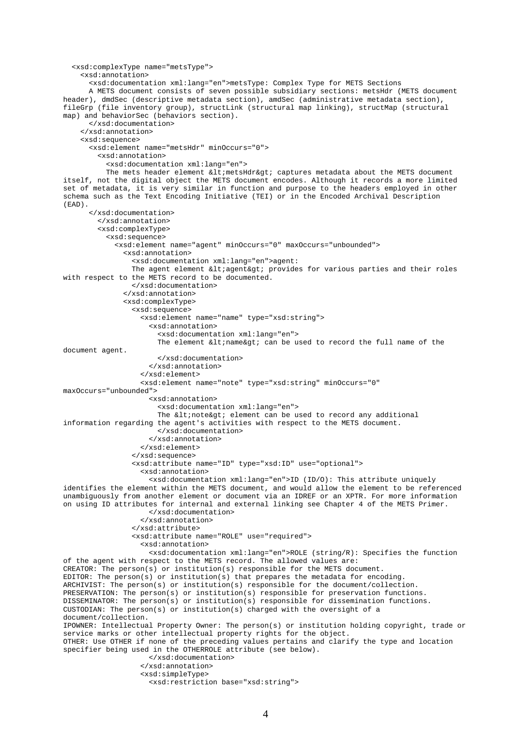```
 <xsd:complexType name="metsType"> 
     <xsd:annotation> 
       <xsd:documentation xml:lang="en">metsType: Complex Type for METS Sections 
       A METS document consists of seven possible subsidiary sections: metsHdr (METS document 
header), dmdSec (descriptive metadata section), amdSec (administrative metadata section),
fileGrp (file inventory group), structLink (structural map linking), structMap (structural
map) and behaviorSec (behaviors section). 
       </xsd:documentation> 
     </xsd:annotation> 
     <xsd:sequence> 
       <xsd:element name="metsHdr" minOccurs="0"> 
         <xsd:annotation> 
           <xsd:documentation xml:lang="en"> 
          The mets header element < metsHdr&gt; captures metadata about the METS document
itself, not the digital object the METS document encodes. Although it records a more limited 
set of metadata, it is very similar in function and purpose to the headers employed in other 
schema such as the Text Encoding Initiative (TEI) or in the Encoded Archival Description 
(EAD). 
       </xsd:documentation> 
         </xsd:annotation> 
         <xsd:complexType> 
           <xsd:sequence> 
              <xsd:element name="agent" minOccurs="0" maxOccurs="unbounded"> 
               <xsd:annotation> 
                 <xsd:documentation xml:lang="en">agent: 
                The agent element < agent&gt; provides for various parties and their roles
with respect to the METS record to be documented. 
                 </xsd:documentation> 
                </xsd:annotation> 
               <xsd:complexType> 
                 <xsd:sequence> 
                    <xsd:element name="name" type="xsd:string"> 
                      <xsd:annotation> 
                        <xsd:documentation xml:lang="en"> 
                      The element <1 and <2 can be used to record the full name of the
document agent. 
                       </xsd:documentation> 
                      </xsd:annotation> 
                    </xsd:element> 
                    <xsd:element name="note" type="xsd:string" minOccurs="0" 
maxOccurs="unbounded"> 
                      <xsd:annotation> 
                        <xsd:documentation xml:lang="en"> 
                      The <1 inote> element can be used to record any additional
information regarding the agent's activities with respect to the METS document. 
                        </xsd:documentation> 
                      </xsd:annotation> 
                    </xsd:element> 
                 </xsd:sequence> 
                 <xsd:attribute name="ID" type="xsd:ID" use="optional"> 
                    <xsd:annotation> 
                     <xsd:documentation xml:lang="en">ID (ID/O): This attribute uniquely 
identifies the element within the METS document, and would allow the element to be referenced 
unambiguously from another element or document via an IDREF or an XPTR. For more information 
on using ID attributes for internal and external linking see Chapter 4 of the METS Primer. 
                      </xsd:documentation> 
                    </xsd:annotation> 
                 </xsd:attribute> 
                 <xsd:attribute name="ROLE" use="required"> 
                    <xsd:annotation> 
                      <xsd:documentation xml:lang="en">ROLE (string/R): Specifies the function 
of the agent with respect to the METS record. The allowed values are: 
CREATOR: The person(s) or institution(s) responsible for the METS document. 
EDITOR: The person(s) or institution(s) that prepares the metadata for encoding. 
ARCHIVIST: The person(s) or institution(s) responsible for the document/collection. 
PRESERVATION: The person(s) or institution(s) responsible for preservation functions. 
DISSEMINATOR: The person(s) or institution(s) responsible for dissemination functions. 
CUSTODIAN: The person(s) or institution(s) charged with the oversight of a
document/collection. 
IPOWNER: Intellectual Property Owner: The person(s) or institution holding copyright, trade or 
service marks or other intellectual property rights for the object. 
OTHER: Use OTHER if none of the preceding values pertains and clarify the type and location 
specifier being used in the OTHERROLE attribute (see below). 
                      </xsd:documentation> 
                    </xsd:annotation> 
                    <xsd:simpleType> 
                      <xsd:restriction base="xsd:string">
```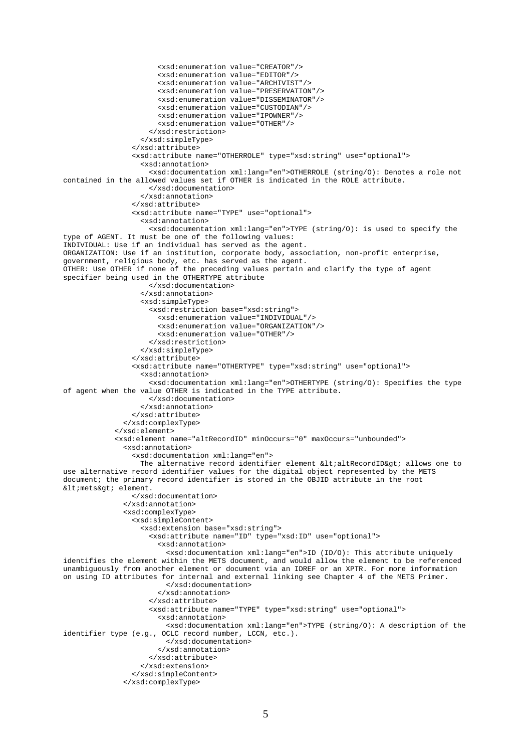```
 <xsd:enumeration value="CREATOR"/> 
                        <xsd:enumeration value="EDITOR"/> 
                        <xsd:enumeration value="ARCHIVIST"/> 
                        <xsd:enumeration value="PRESERVATION"/> 
                        <xsd:enumeration value="DISSEMINATOR"/> 
                        <xsd:enumeration value="CUSTODIAN"/> 
                        <xsd:enumeration value="IPOWNER"/> 
                        <xsd:enumeration value="OTHER"/> 
                      </xsd:restriction> 
                    </xsd:simpleType> 
                  </xsd:attribute> 
                  <xsd:attribute name="OTHERROLE" type="xsd:string" use="optional"> 
                    <xsd:annotation> 
                      <xsd:documentation xml:lang="en">OTHERROLE (string/O): Denotes a role not 
contained in the allowed values set if OTHER is indicated in the ROLE attribute. 
                      </xsd:documentation> 
                    </xsd:annotation> 
                  </xsd:attribute> 
                  <xsd:attribute name="TYPE" use="optional"> 
                    <xsd:annotation> 
                      <xsd:documentation xml:lang="en">TYPE (string/O): is used to specify the 
type of AGENT. It must be one of the following values: 
INDIVIDUAL: Use if an individual has served as the agent. 
ORGANIZATION: Use if an institution, corporate body, association, non-profit enterprise, 
government, religious body, etc. has served as the agent. 
OTHER: Use OTHER if none of the preceding values pertain and clarify the type of agent 
specifier being used in the OTHERTYPE attribute 
                      </xsd:documentation> 
                    </xsd:annotation> 
                    <xsd:simpleType> 
                      <xsd:restriction base="xsd:string"> 
                        <xsd:enumeration value="INDIVIDUAL"/> 
                        <xsd:enumeration value="ORGANIZATION"/> 
                        <xsd:enumeration value="OTHER"/> 
                      </xsd:restriction> 
                    </xsd:simpleType> 
                  </xsd:attribute> 
                  <xsd:attribute name="OTHERTYPE" type="xsd:string" use="optional"> 
                    <xsd:annotation> 
                      <xsd:documentation xml:lang="en">OTHERTYPE (string/O): Specifies the type 
of agent when the value OTHER is indicated in the TYPE attribute. 
                     </xsd:documentation> 
                    </xsd:annotation> 
                  </xsd:attribute> 
               </xsd:complexType> 
             </xsd:element> 
             <xsd:element name="altRecordID" minOccurs="0" maxOccurs="unbounded"> 
               <xsd:annotation> 
                  <xsd:documentation xml:lang="en"> 
                  The alternative record identifier element <altRecordID&gt; allows one to
use alternative record identifier values for the digital object represented by the METS 
document; the primary record identifier is stored in the OBJID attribute in the root 
< mets&gt; element.
                  </xsd:documentation> 
                </xsd:annotation> 
               <xsd:complexType> 
                  <xsd:simpleContent> 
                    <xsd:extension base="xsd:string">
                      <xsd:attribute name="ID" type="xsd:ID" use="optional"> 
                        <xsd:annotation> 
                          <xsd:documentation xml:lang="en">ID (ID/O): This attribute uniquely 
identifies the element within the METS document, and would allow the element to be referenced 
unambiguously from another element or document via an IDREF or an XPTR. For more information 
on using ID attributes for internal and external linking see Chapter 4 of the METS Primer. 
                          </xsd:documentation> 
                        </xsd:annotation> 
                      </xsd:attribute> 
                      <xsd:attribute name="TYPE" type="xsd:string" use="optional"> 
                        <xsd:annotation> 
                          <xsd:documentation xml:lang="en">TYPE (string/O): A description of the 
identifier type (e.g., OCLC record number, LCCN, etc.). 
                          </xsd:documentation> 
                        </xsd:annotation> 
                      </xsd:attribute> 
                    </xsd:extension> 
                  </xsd:simpleContent> 
                </xsd:complexType>
```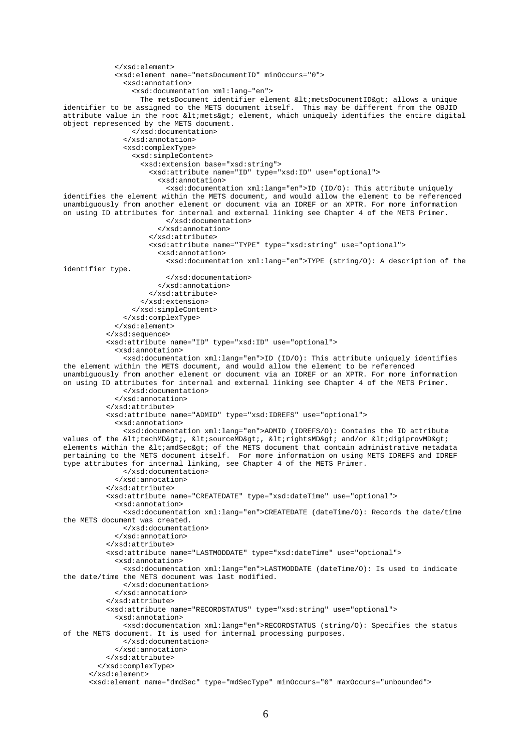```
 </xsd:element> 
             <xsd:element name="metsDocumentID" minOccurs="0"> 
               <xsd:annotation> 
                 <xsd:documentation xml:lang="en"> 
                  The metsDocument identifier element < metsDocumentID&gt; allows a unique
identifier to be assigned to the METS document itself. This may be different from the OBJID 
attribute value in the root < mets&qt; element, which uniquely identifies the entire digital
object represented by the METS document. 
                 </xsd:documentation> 
                </xsd:annotation> 
               <xsd:complexType> 
                 <xsd:simpleContent> 
                    <xsd:extension base="xsd:string">
                      <xsd:attribute name="ID" type="xsd:ID" use="optional"> 
                        <xsd:annotation> 
                          <xsd:documentation xml:lang="en">ID (ID/O): This attribute uniquely 
identifies the element within the METS document, and would allow the element to be referenced 
unambiguously from another element or document via an IDREF or an XPTR. For more information 
on using ID attributes for internal and external linking see Chapter 4 of the METS Primer. 
                          </xsd:documentation> 
                        </xsd:annotation> 
                      </xsd:attribute> 
                      <xsd:attribute name="TYPE" type="xsd:string" use="optional"> 
                        <xsd:annotation> 
                          <xsd:documentation xml:lang="en">TYPE (string/O): A description of the 
identifier type. 
                          </xsd:documentation> 
                        </xsd:annotation> 
                      </xsd:attribute> 
                    </xsd:extension> 
                 </xsd:simpleContent> 
               </xsd:complexType> 
             </xsd:element> 
           </xsd:sequence> 
           <xsd:attribute name="ID" type="xsd:ID" use="optional"> 
             <xsd:annotation> 
               <xsd:documentation xml:lang="en">ID (ID/O): This attribute uniquely identifies 
the element within the METS document, and would allow the element to be referenced 
unambiguously from another element or document via an IDREF or an XPTR. For more information 
on using ID attributes for internal and external linking see Chapter 4 of the METS Primer. 
               </xsd:documentation> 
             </xsd:annotation> 
           </xsd:attribute> 
           <xsd:attribute name="ADMID" type="xsd:IDREFS" use="optional"> 
             <xsd:annotation> 
               <xsd:documentation xml:lang="en">ADMID (IDREFS/O): Contains the ID attribute 
values of the <techMD&gt;, &lt;sourceMD&gt;, &lt;rightsMD&gt; and/or &lt;digiprovMD&gt;
elements within the \<l tandSec> of the METS document that contain administrative metadata
pertaining to the METS document itself. For more information on using METS IDREFS and IDREF 
type attributes for internal linking, see Chapter 4 of the METS Primer. 
               </xsd:documentation> 
             </xsd:annotation> 
           </xsd:attribute> 
           <xsd:attribute name="CREATEDATE" type="xsd:dateTime" use="optional"> 
             <xsd:annotation> 
               <xsd:documentation xml:lang="en">CREATEDATE (dateTime/O): Records the date/time 
the METS document was created. 
               </xsd:documentation> 
              </xsd:annotation> 
           </xsd:attribute> 
           <xsd:attribute name="LASTMODDATE" type="xsd:dateTime" use="optional"> 
             <xsd:annotation> 
               <xsd:documentation xml:lang="en">LASTMODDATE (dateTime/O): Is used to indicate 
the date/time the METS document was last modified. 
               </xsd:documentation> 
             </xsd:annotation> 
           </xsd:attribute> 
           <xsd:attribute name="RECORDSTATUS" type="xsd:string" use="optional"> 
             <xsd:annotation> 
               <xsd:documentation xml:lang="en">RECORDSTATUS (string/O): Specifies the status 
of the METS document. It is used for internal processing purposes. 
               </xsd:documentation> 
             </xsd:annotation> 
           </xsd:attribute> 
         </xsd:complexType> 
       </xsd:element> 
       <xsd:element name="dmdSec" type="mdSecType" minOccurs="0" maxOccurs="unbounded">
```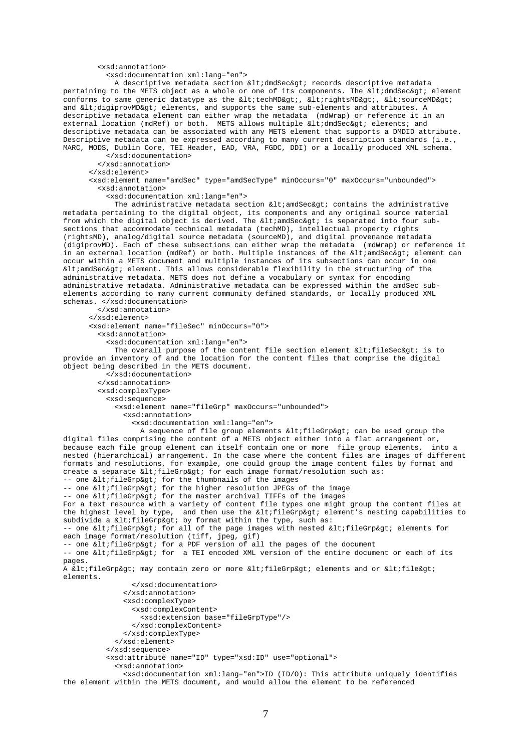#### <xsd:annotation>

<xsd:documentation xml:lang="en">

A descriptive metadata section <dmdSec&gt; records descriptive metadata pertaining to the METS object as a whole or one of its components. The <dmdSec&gt; element conforms to same generic datatype as the <techMD&gt;, &lt;rightsMD&gt;, &lt;sourceMD&gt; and <digiprovMD&gt; elements, and supports the same sub-elements and attributes. A descriptive metadata element can either wrap the metadata (mdWrap) or reference it in an external location (mdRef) or both. METS allows multiple <dmdSec&gt; elements; and descriptive metadata can be associated with any METS element that supports a DMDID attribute. Descriptive metadata can be expressed according to many current description standards (i.e., MARC, MODS, Dublin Core, TEI Header, EAD, VRA, FGDC, DDI) or a locally produced XML schema.

 </xsd:documentation> </xsd:annotation>

</xsd:element>

 <xsd:element name="amdSec" type="amdSecType" minOccurs="0" maxOccurs="unbounded"> <xsd:annotation>

<xsd:documentation xml:lang="en">

 The administrative metadata section <amdSec> contains the administrative metadata pertaining to the digital object, its components and any original source material from which the digital object is derived. The &ltiamdSec> is separated into four subsections that accommodate technical metadata (techMD), intellectual property rights (rightsMD), analog/digital source metadata (sourceMD), and digital provenance metadata (digiprovMD). Each of these subsections can either wrap the metadata (mdWrap) or reference it in an external location (mdRef) or both. Multiple instances of the <amdSec&qt; element can occur within a METS document and multiple instances of its subsections can occur in one <amdSec&gt; element. This allows considerable flexibility in the structuring of the administrative metadata. METS does not define a vocabulary or syntax for encoding administrative metadata. Administrative metadata can be expressed within the amdSec subelements according to many current community defined standards, or locally produced XML schemas. </xsd:documentation> </xsd:annotation> </xsd:element> <xsd:element name="fileSec" minOccurs="0"> <xsd:annotation> <xsd:documentation xml:lang="en"> The overall purpose of the content file section element <fileSec&gt; is to provide an inventory of and the location for the content files that comprise the digital object being described in the METS document. </xsd:documentation> </xsd:annotation> <xsd:complexType> <xsd:sequence> <xsd:element name="fileGrp" maxOccurs="unbounded"> <xsd:annotation> <xsd:documentation xml:lang="en"> A sequence of file group elements < fileGrp&gt; can be used group the digital files comprising the content of a METS object either into a flat arrangement or, because each file group element can itself contain one or more file group elements, into a nested (hierarchical) arrangement. In the case where the content files are images of different formats and resolutions, for example, one could group the image content files by format and create a separate  $\<1$ tileGrp $<0$  for each image format/resolution such as: -- one <fileGrp&gt; for the thumbnails of the images -- one <fileGrp&gt; for the higher resolution JPEGs of the image -- one <fileGrp&gt; for the master archival TIFFs of the images For a text resource with a variety of content file types one might group the content files at the highest level by type, and then use the altifileGrpagt; element's nesting capabilities to subdivide a  $illeGrp> by format within the type, such as:$ -- one <fileGrp&gt; for all of the page images with nested &lt;fileGrp&gt; elements for each image format/resolution (tiff, jpeg, gif) -- one <fileGrp&gt; for a PDF version of all the pages of the document -- one <fileGrp&gt; for a TEI encoded XML version of the entire document or each of its pages. A <fileGrp&gt; may contain zero or more &lt;fileGrp&gt; elements and or &lt;file&gt; elements. </xsd:documentation> </xsd:annotation> <xsd:complexType> <xsd:complexContent> <xsd:extension base="fileGrpType"/> </xsd:complexContent> </xsd:complexType> </xsd:element> </xsd:sequence> <xsd:attribute name="ID" type="xsd:ID" use="optional"> <xsd:annotation>

 <xsd:documentation xml:lang="en">ID (ID/O): This attribute uniquely identifies the element within the METS document, and would allow the element to be referenced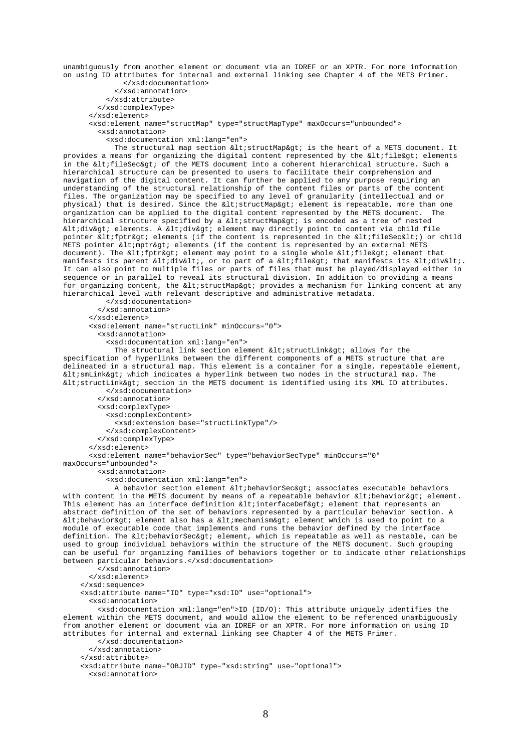unambiguously from another element or document via an IDREF or an XPTR. For more information on using ID attributes for internal and external linking see Chapter 4 of the METS Primer. </xsd:documentation>

```
 </xsd:annotation>
```
</xsd:attribute>

</xsd:complexType>

</xsd:element>

<xsd:element name="structMap" type="structMapType" maxOccurs="unbounded">

<xsd:annotation>

<xsd:documentation xml:lang="en">

The structural map section  $\<$ istructMap&qt; is the heart of a METS document. It provides a means for organizing the digital content represented by the  $\ file $\>l$  elements$ in the <fileSec&gt; of the METS document into a coherent hierarchical structure. Such a hierarchical structure can be presented to users to facilitate their comprehension and navigation of the digital content. It can further be applied to any purpose requiring an understanding of the structural relationship of the content files or parts of the content files. The organization may be specified to any level of granularity (intellectual and or physical) that is desired. Since the < structMap&gt; element is repeatable, more than one organization can be applied to the digital content represented by the METS document. The hierarchical structure specified by a < structMap&gt; is encoded as a tree of nested <div> elements. A <div> element may directly point to content via child file pointer <fptr&gt; elements (if the content is represented in the &lt;fileSec&lt;) or child METS pointer < mptr&gt; elements (if the content is represented by an external METS document). The < fptr&gt; element may point to a single whole &lt; file&gt; element that manifests its parent  $\idiv $\i, or to part of a  $\ifile $\; that manifests its  $\idiv $\i.$$$$$$ It can also point to multiple files or parts of files that must be played/displayed either in sequence or in parallel to reveal its structural division. In addition to providing a means for organizing content, the  $\<1$  istructMap> provides a mechanism for linking content at any hierarchical level with relevant descriptive and administrative metadata.

```
 </xsd:documentation> 
         </xsd:annotation> 
       </xsd:element> 
       <xsd:element name="structLink" minOccurs="0">
         <xsd:annotation> 
           <xsd:documentation xml:lang="en"> 
            The structural link section element < structLink& at; allows for the
specification of hyperlinks between the different components of a METS structure that are 
delineated in a structural map. This element is a container for a single, repeatable element, 
<smLink&gt; which indicates a hyperlink between two nodes in the structural map. The
<structLink&gt; section in the METS document is identified using its XML ID attributes.
           </xsd:documentation> 
         </xsd:annotation> 
         <xsd:complexType> 
           <xsd:complexContent>
```
<xsd:extension base="structLinkType"/>

```
 </xsd:complexContent>
```
</xsd:complexType>

```
 </xsd:element>
```
<xsd:element name="behaviorSec" type="behaviorSecType" minOccurs="0"

maxOccurs="unbounded"> <xsd:annotation>

<xsd:documentation xml:lang="en">

A behavior section element  $\< l$  ibehavior $S$ ec $\< g$ t; associates executable behaviors with content in the METS document by means of a repeatable behavior  $\<1$  the havior  $\ element.$ This element has an interface definition < interfaceDef&qt; element that represents an abstract definition of the set of behaviors represented by a particular behavior section. A < behavior&gt; element also has a &lt; mechanism&gt; element which is used to point to a module of executable code that implements and runs the behavior defined by the interface definition. The < behaviorSec&gt; element, which is repeatable as well as nestable, can be used to group individual behaviors within the structure of the METS document. Such grouping can be useful for organizing families of behaviors together or to indicate other relationships between particular behaviors.</xsd:documentation>

 </xsd:annotation> </xsd:element> </xsd:sequence> <xsd:attribute name="ID" type="xsd:ID" use="optional"> <xsd:annotation> <xsd:documentation xml:lang="en">ID (ID/O): This attribute uniquely identifies the

element within the METS document, and would allow the element to be referenced unambiguously from another element or document via an IDREF or an XPTR. For more information on using ID attributes for internal and external linking see Chapter 4 of the METS Primer. </xsd:documentation>

```
 </xsd:annotation> 
 </xsd:attribute>
```
 <xsd:attribute name="OBJID" type="xsd:string" use="optional"> <xsd:annotation>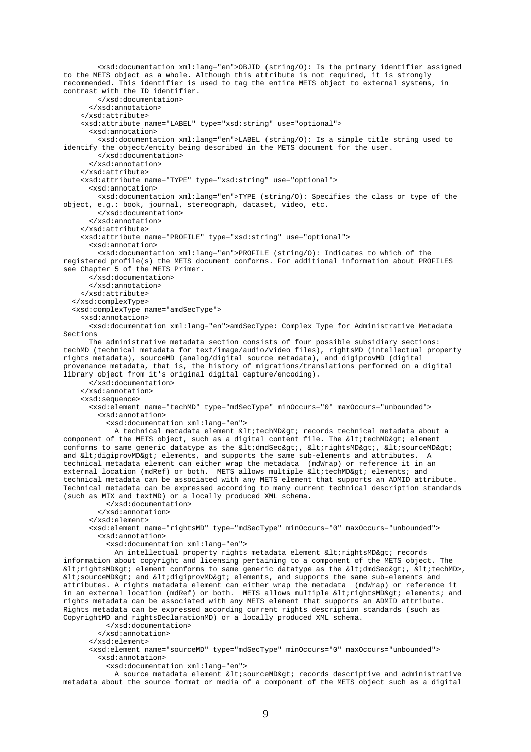<xsd:documentation xml:lang="en">OBJID (string/O): Is the primary identifier assigned to the METS object as a whole. Although this attribute is not required, it is strongly recommended. This identifier is used to tag the entire METS object to external systems, in contrast with the ID identifier. </xsd:documentation> </xsd:annotation> </xsd:attribute> <xsd:attribute name="LABEL" type="xsd:string" use="optional"> <xsd:annotation> <xsd:documentation xml:lang="en">LABEL (string/O): Is a simple title string used to identify the object/entity being described in the METS document for the user. </xsd:documentation> </xsd:annotation> </xsd:attribute> <xsd:attribute name="TYPE" type="xsd:string" use="optional"> <xsd:annotation> <xsd:documentation xml:lang="en">TYPE (string/O): Specifies the class or type of the object, e.g.: book, journal, stereograph, dataset, video, etc. </xsd:documentation> </xsd:annotation> </xsd:attribute> <xsd:attribute name="PROFILE" type="xsd:string" use="optional"> <xsd:annotation> <xsd:documentation xml:lang="en">PROFILE (string/O): Indicates to which of the registered profile(s) the METS document conforms. For additional information about PROFILES see Chapter 5 of the METS Primer. </xsd:documentation> </xsd:annotation> </xsd:attribute> </xsd:complexType> <xsd:complexType name="amdSecType"> <xsd:annotation> <xsd:documentation xml:lang="en">amdSecType: Complex Type for Administrative Metadata Sections The administrative metadata section consists of four possible subsidiary sections: techMD (technical metadata for text/image/audio/video files), rightsMD (intellectual property rights metadata), sourceMD (analog/digital source metadata), and digiprovMD (digital provenance metadata, that is, the history of migrations/translations performed on a digital library object from it's original digital capture/encoding). </xsd:documentation> </xsd:annotation> <xsd:sequence> <xsd:element name="techMD" type="mdSecType" minOccurs="0" maxOccurs="unbounded"> <xsd:annotation> <xsd:documentation xml:lang="en"> A technical metadata element < techMD& at; records technical metadata about a component of the METS object, such as a digital content file. The  $\ it element$ conforms to same generic datatype as the <dmdSec&gt;, &lt;rightsMD&gt;, &lt;sourceMD&gt; and <digiprovMD&qt; elements, and supports the same sub-elements and attributes. A technical metadata element can either wrap the metadata (mdWrap) or reference it in an external location (mdRef) or both. METS allows multiple < techMD&gt; elements; and technical metadata can be associated with any METS element that supports an ADMID attribute. Technical metadata can be expressed according to many current technical description standards (such as MIX and textMD) or a locally produced XML schema. </xsd:documentation> </xsd:annotation> </xsd:element> <xsd:element name="rightsMD" type="mdSecType" minOccurs="0" maxOccurs="unbounded"> <xsd:annotation> <xsd:documentation xml:lang="en"> An intellectual property rights metadata element < rightsMD&gt; records information about copyright and licensing pertaining to a component of the METS object. The  $\<$ itirightsMD> element conforms to same generic datatype as the  $\<$ idmdSec>,  $\<$ ititechMD>,  $\<$ isourceMD> and  $\<$ idigiprovMD> elements, and supports the same sub-elements and attributes. A rights metadata element can either wrap the metadata (mdWrap) or reference it in an external location (mdRef) or both. METS allows multiple <rightsMD&gt; elements; and rights metadata can be associated with any METS element that supports an ADMID attribute. Rights metadata can be expressed according current rights description standards (such as CopyrightMD and rightsDeclarationMD) or a locally produced XML schema. </xsd:documentation> </xsd:annotation> </xsd:element> <xsd:element name="sourceMD" type="mdSecType" minOccurs="0" maxOccurs="unbounded"> <xsd:annotation> <xsd:documentation xml:lang="en">

A source metadata element < sourceMD&gt; records descriptive and administrative metadata about the source format or media of a component of the METS object such as a digital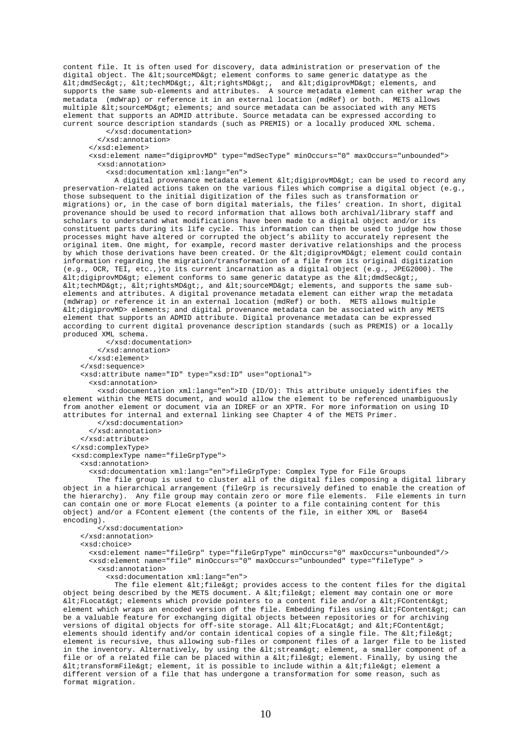content file. It is often used for discovery, data administration or preservation of the digital object. The  $\< 1$ tisourceMD $< q$ tiselement conforms to same generic datatype as the <dmdSec&gt;, &lt;techMD&gt;, &lt;rightsMD&gt;, and &lt;digiprovMD&gt; elements, and supports the same sub-elements and attributes. A source metadata element can either wrap the metadata (mdWrap) or reference it in an external location (mdRef) or both. METS allows multiple  $<$ lt; sourceMD $<$ gt; elements; and source metadata can be associated with any METS element that supports an ADMID attribute. Source metadata can be expressed according to current source description standards (such as PREMIS) or a locally produced XML schema.

</xsd:documentation>

</xsd:annotation>

</xsd:element>

 <xsd:element name="digiprovMD" type="mdSecType" minOccurs="0" maxOccurs="unbounded"> <xsd:annotation>

<xsd:documentation xml:lang="en">

A digital provenance metadata element <digiprovMD&gt; can be used to record any preservation-related actions taken on the various files which comprise a digital object (e.g., those subsequent to the initial digitization of the files such as transformation or migrations) or, in the case of born digital materials, the files' creation. In short, digital provenance should be used to record information that allows both archival/library staff and scholars to understand what modifications have been made to a digital object and/or its constituent parts during its life cycle. This information can then be used to judge how those processes might have altered or corrupted the object's ability to accurately represent the original item. One might, for example, record master derivative relationships and the process by which those derivations have been created. Or the  $\<$ iltidigiprovMD $\<$ qti element could contain information regarding the migration/transformation of a file from its original digitization (e.g., OCR, TEI, etc.,)to its current incarnation as a digital object (e.g., JPEG2000). The  $\text{alt}$ ; digiprovMD> element conforms to same generic datatype as the  $\text{alt}$ ; dmdSec>,  $\ : techMD>,  $\ :  $\exists$  and  $\;  $\exists$  and  $\ isourceMD> elements, and supports the same sub$$$$ elements and attributes. A digital provenance metadata element can either wrap the metadata (mdWrap) or reference it in an external location (mdRef) or both. METS allows multiple <digiprovMD> elements; and digital provenance metadata can be associated with any METS element that supports an ADMID attribute. Digital provenance metadata can be expressed according to current digital provenance description standards (such as PREMIS) or a locally produced XML schema.

 </xsd:documentation> </xsd:annotation> </xsd:element> </xsd:sequence> <xsd:attribute name="ID" type="xsd:ID" use="optional"> <xsd:annotation>

 <xsd:documentation xml:lang="en">ID (ID/O): This attribute uniquely identifies the element within the METS document, and would allow the element to be referenced unambiguously from another element or document via an IDREF or an XPTR. For more information on using ID attributes for internal and external linking see Chapter 4 of the METS Primer.

 </xsd:documentation> </xsd:annotation>

</xsd:attribute>

</xsd:complexType>

<xsd:complexType name="fileGrpType">

<xsd:annotation>

<xsd:documentation xml:lang="en">fileGrpType: Complex Type for File Groups

 The file group is used to cluster all of the digital files composing a digital library object in a hierarchical arrangement (fileGrp is recursively defined to enable the creation of the hierarchy). Any file group may contain zero or more file elements. File elements in turn can contain one or more FLocat elements (a pointer to a file containing content for this object) and/or a FContent element (the contents of the file, in either XML or Base64 encoding).

```
 </xsd:documentation> 
 </xsd:annotation> 
 <xsd:choice> 
   <xsd:element name="fileGrp" type="fileGrpType" minOccurs="0" maxOccurs="unbounded"/> 
   <xsd:element name="file" minOccurs="0" maxOccurs="unbounded" type="fileType" > 
     <xsd:annotation> 
       <xsd:documentation xml:lang="en">
```
The file element  $\ ; file  $\>g$  provides access to the content files for the digital$ object being described by the METS document. A <file&gt; element may contain one or more  $klt$ ; FLocat> elements which provide pointers to a content file and/or a  $klt$ ; FContent> element which wraps an encoded version of the file. Embedding files using  $\ FContent $\t; can$$ be a valuable feature for exchanging digital objects between repositories or for archiving versions of digital objects for off-site storage. All <FLocat&gt; and &lt;FContent&gt; elements should identify and/or contain identical copies of a single file. The  $\<$ ilile $\>$ element is recursive, thus allowing sub-files or component files of a larger file to be listed in the inventory. Alternatively, by using the < stream&gt; element, a smaller component of a file or of a related file can be placed within a  $\<1$  ile $\>0$  element. Finally, by using the <transformFile&gt; element, it is possible to include within a &lt;file&gt; element a different version of a file that has undergone a transformation for some reason, such as format migration.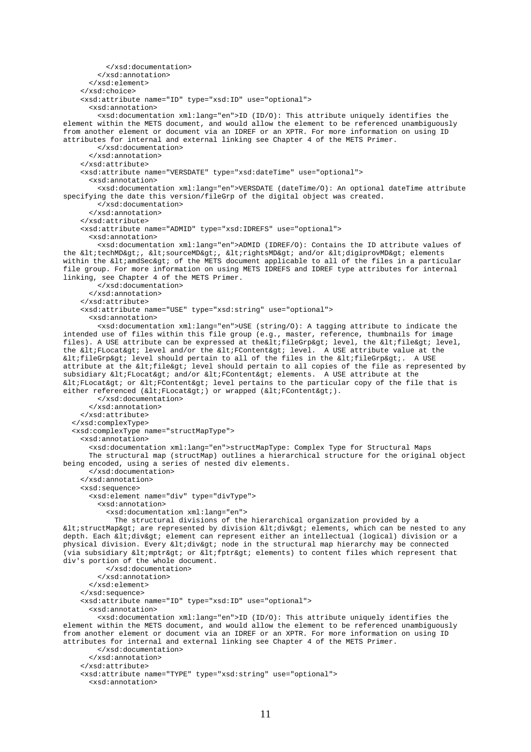```
 </xsd:documentation> 
         </xsd:annotation> 
       </xsd:element> 
     </xsd:choice> 
     <xsd:attribute name="ID" type="xsd:ID" use="optional"> 
       <xsd:annotation> 
         <xsd:documentation xml:lang="en">ID (ID/O): This attribute uniquely identifies the 
element within the METS document, and would allow the element to be referenced unambiguously 
from another element or document via an IDREF or an XPTR. For more information on using ID 
attributes for internal and external linking see Chapter 4 of the METS Primer. 
         </xsd:documentation> 
       </xsd:annotation> 
     </xsd:attribute> 
     <xsd:attribute name="VERSDATE" type="xsd:dateTime" use="optional"> 
       <xsd:annotation> 
         <xsd:documentation xml:lang="en">VERSDATE (dateTime/O): An optional dateTime attribute 
specifying the date this version/fileGrp of the digital object was created. 
         </xsd:documentation> 
       </xsd:annotation> 
     </xsd:attribute> 
     <xsd:attribute name="ADMID" type="xsd:IDREFS" use="optional"> 
       <xsd:annotation> 
         <xsd:documentation xml:lang="en">ADMID (IDREF/O): Contains the ID attribute values of 
the <techMD&qt;, &lt;sourceMD&qt;, &lt;rightsMD&qt; and/or &lt;digiprovMD&qt; elements
within the <amdSec&gt; of the METS document applicable to all of the files in a particular
file group. For more information on using METS IDREFS and IDREF type attributes for internal 
linking, see Chapter 4 of the METS Primer. 
         </xsd:documentation> 
       </xsd:annotation> 
     </xsd:attribute> 
     <xsd:attribute name="USE" type="xsd:string" use="optional"> 
       <xsd:annotation> 
         <xsd:documentation xml:lang="en">USE (string/O): A tagging attribute to indicate the 
intended use of files within this file group (e.g., master, reference, thumbnails for image 
files). A USE attribute can be expressed at the altifile Grp agt; level, the altifile agt; level,
the <FLocat&gt; level and/or the &lt;FContent&gt; level. A USE attribute value at the
\text{alt}: fileGrp&gt: level should pertain to all of the files in the \text{alt}: fileGrp&gt:. A USE
attribute at the <file&gt; level should pertain to all copies of the file as represented by
subsidiary <FLocat&qt; and/or &lt;FContent&qt; elements. A USE attribute at the
<FLocat&gt; or &lt;FContent&gt; level pertains to the particular copy of the file that is
either referenced (\< l\text{th} \text{FLocal}\> j) or wrapped (\< l\text{th} \text{FContent}\> j).
         </xsd:documentation> 
       </xsd:annotation> 
     </xsd:attribute> 
   </xsd:complexType> 
   <xsd:complexType name="structMapType"> 
     <xsd:annotation> 
       <xsd:documentation xml:lang="en">structMapType: Complex Type for Structural Maps 
       The structural map (structMap) outlines a hierarchical structure for the original object 
being encoded, using a series of nested div elements. 
       </xsd:documentation> 
     </xsd:annotation> 
     <xsd:sequence> 
       <xsd:element name="div" type="divType"> 
         <xsd:annotation> 
           <xsd:documentation xml:lang="en"> 
             The structural divisions of the hierarchical organization provided by a 
<structMap&gt; are represented by division &lt;div&gt; elements, which can be nested to any
depth. Each <div&gt; element can represent either an intellectual (logical) division or a
physical division. Every altidivagt; node in the structural map hierarchy may be connected
(via subsidiary <mptr&gt; or &lt;fptr&gt; elements) to content files which represent that
div's portion of the whole document. 
           </xsd:documentation> 
         </xsd:annotation> 
       </xsd:element> 
     </xsd:sequence> 
     <xsd:attribute name="ID" type="xsd:ID" use="optional"> 
       <xsd:annotation> 
         <xsd:documentation xml:lang="en">ID (ID/O): This attribute uniquely identifies the 
element within the METS document, and would allow the element to be referenced unambiguously 
from another element or document via an IDREF or an XPTR. For more information on using ID 
attributes for internal and external linking see Chapter 4 of the METS Primer. 
         </xsd:documentation> 
       </xsd:annotation> 
     </xsd:attribute> 
     <xsd:attribute name="TYPE" type="xsd:string" use="optional"> 
       <xsd:annotation>
```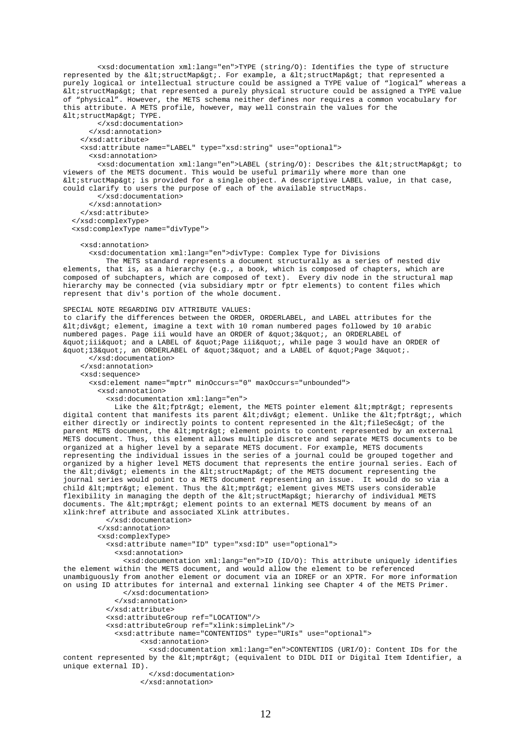<xsd:documentation xml:lang="en">TYPE (string/O): Identifies the type of structure represented by the <structMap&gt;. For example, a &lt;structMap&gt; that represented a purely logical or intellectual structure could be assigned a TYPE value of "logical" whereas a  $\<$  istructMap> that represented a purely physical structure could be assigned a TYPE value of "physical". However, the METS schema neither defines nor requires a common vocabulary for this attribute. A METS profile, however, may well constrain the values for the < structMap&qt; TYPE.

 </xsd:documentation> </xsd:annotation> </xsd:attribute> <xsd:attribute name="LABEL" type="xsd:string" use="optional"> <xsd:annotation>

<xsd:documentation xml:lang="en">LABEL (string/0): Describes the &lt;structMap&gt; to viewers of the METS document. This would be useful primarily where more than one <structMap&gt; is provided for a single object. A descriptive LABEL value, in that case, could clarify to users the purpose of each of the available structMaps.

</xsd:documentation>

</xsd:annotation>

</xsd:attribute>

</xsd:complexType>

<xsd:complexType name="divType">

<xsd:annotation>

<xsd:documentation xml:lang="en">divType: Complex Type for Divisions

 The METS standard represents a document structurally as a series of nested div elements, that is, as a hierarchy (e.g., a book, which is composed of chapters, which are composed of subchapters, which are composed of text). Every div node in the structural map hierarchy may be connected (via subsidiary mptr or fptr elements) to content files which represent that div's portion of the whole document.

SPECIAL NOTE REGARDING DIV ATTRIBUTE VALUES: to clarify the differences between the ORDER, ORDERLABEL, and LABEL attributes for the  $\delta$ ltidiv $\delta$ gti element, imagine a text with 10 roman numbered pages followed by 10 arabic numbered pages. Page iii would have an ORDER of " 3", an ORDERLABEL of "iii" and a LABEL of "Page iii", while page 3 would have an ORDER of "13", an ORDERLABEL of "3" and a LABEL of "Page 3". </xsd:documentation>

 </xsd:annotation> <xsd:sequence> <xsd:element name="mptr" minOccurs="0" maxOccurs="unbounded"> <xsd:annotation>

<xsd:documentation xml:lang="en">

Like the < fptr&gt; element, the METS pointer element &lt; mptr&gt; represents digital content that manifests its parent <div&gt; element. Unlike the &lt;fptr&gt;, which either directly or indirectly points to content represented in the  $\<1$  fileSec $\t; of the$ parent METS document, the < mptr&gt; element points to content represented by an external METS document. Thus, this element allows multiple discrete and separate METS documents to be organized at a higher level by a separate METS document. For example, METS documents representing the individual issues in the series of a journal could be grouped together and organized by a higher level METS document that represents the entire journal series. Each of the <div&gt; elements in the &lt;structMap&gt; of the METS document representing the journal series would point to a METS document representing an issue. It would do so via a child  $\< l$  imptr $\> l$  element. Thus the  $\< l$  imptr $\> g$  element gives METS users considerable flexibility in managing the depth of the <structMap&qt; hierarchy of individual METS documents. The  $\< l$  imptr $\< qt$ ; element points to an external METS document by means of an xlink:href attribute and associated XLink attributes.

 </xsd:documentation> </xsd:annotation> <xsd:complexType> <xsd:attribute name="ID" type="xsd:ID" use="optional"> <xsd:annotation>

 <xsd:documentation xml:lang="en">ID (ID/O): This attribute uniquely identifies the element within the METS document, and would allow the element to be referenced unambiguously from another element or document via an IDREF or an XPTR. For more information on using ID attributes for internal and external linking see Chapter 4 of the METS Primer. </xsd:documentation>

</xsd:annotation>

</xsd:attribute>

<xsd:attributeGroup ref="LOCATION"/>

<xsd:attributeGroup ref="xlink:simpleLink"/>

<xsd:attribute name="CONTENTIDS" type="URIs" use="optional">

<xsd:annotation>

 <xsd:documentation xml:lang="en">CONTENTIDS (URI/O): Content IDs for the content represented by the < mptr&gt; (equivalent to DIDL DII or Digital Item Identifier, a unique external ID).

</xsd:documentation>

</xsd:annotation>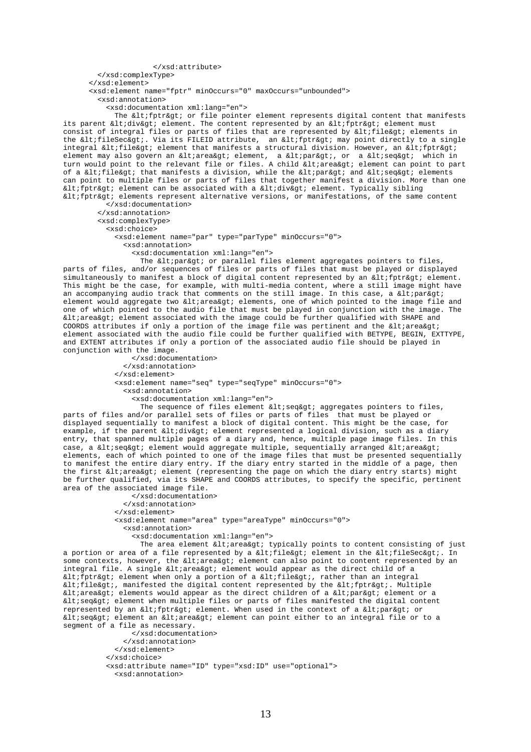</xsd:attribute> </xsd:complexType> </xsd:element> <xsd:element name="fptr" minOccurs="0" maxOccurs="unbounded"> <xsd:annotation> <xsd:documentation xml:lang="en"> The < fptr&qt; or file pointer element represents digital content that manifests its parent <div&qt; element. The content represented by an &lt;fptr&qt; element must consist of integral files or parts of files that are represented by  $\ ile $\>q$  elements in$ the <fileSec&gt;. Via its FILEID attribute, an &lt;fptr&gt; may point directly to a single integral <file&gt; element that manifests a structural division. However, an &lt;fptr&gt; element may also govern an < area&gt; element, a &lt; par&gt;, or a &lt; seq&gt; which in turn would point to the relevant file or files. A child <area&gt; element can point to part of a <file&gt; that manifests a division, while the &lt;par&gt; and &lt;seq&gt; elements can point to multiple files or parts of files that together manifest a division. More than one < fptr&gt; element can be associated with a &lt;div&gt; element. Typically sibling  $\<$ i $f$ ptr $\>$  elements represent alternative versions, or manifestations, of the same content

 </xsd:documentation> </xsd:annotation> <xsd:complexType> <xsd:choice> <xsd:element name="par" type="parType" minOccurs="0"> <xsd:annotation> <xsd:documentation xml:lang="en">

The < par&gt; or parallel files element aggregates pointers to files, parts of files, and/or sequences of files or parts of files that must be played or displayed simultaneously to manifest a block of digital content represented by an  $\<1$  fptr $\t; element.$ This might be the case, for example, with multi-media content, where a still image might have an accompanying audio track that comments on the still image. In this case, a  $\<1$ element would aggregate two < area&gt; elements, one of which pointed to the image file and one of which pointed to the audio file that must be played in conjunction with the image. The  $\<$  it area $\>$  element associated with the image could be further qualified with SHAPE and COORDS attributes if only a portion of the image file was pertinent and the  $\<1$ tarea $\ti$ element associated with the audio file could be further qualified with BETYPE, BEGIN, EXTTYPE, and EXTENT attributes if only a portion of the associated audio file should be played in conjunction with the image.

> </xsd:documentation> </xsd:annotation> </xsd:element> <xsd:element name="seq" type="seqType" minOccurs="0"> <xsd:annotation> <xsd:documentation xml:lang="en">

The sequence of files element  $klt; s$ eq $k$ qt; aqqreqates pointers to files, parts of files and/or parallel sets of files or parts of files that must be played or displayed sequentially to manifest a block of digital content. This might be the case, for example, if the parent <div&gt; element represented a logical division, such as a diary entry, that spanned multiple pages of a diary and, hence, multiple page image files. In this case, a < seq&gt; element would aggregate multiple, sequentially arranged &lt; area&gt; elements, each of which pointed to one of the image files that must be presented sequentially to manifest the entire diary entry. If the diary entry started in the middle of a page, then the first <area&gt; element (representing the page on which the diary entry starts) might be further qualified, via its SHAPE and COORDS attributes, to specify the specific, pertinent area of the associated image file.

 </xsd:documentation> </xsd:annotation> </xsd:element> <xsd:element name="area" type="areaType" minOccurs="0"> <xsd:annotation> <xsd:documentation xml:lang="en"> The area element < area&gt; typically points to content consisting of just

a portion or area of a file represented by a <file&gt; element in the &lt;fileSec&gt;. In some contexts, however, the < area&gt; element can also point to content represented by an integral file. A single  $\&l$ tiarea $&g$ ti element would appear as the direct child of a  $klt: \tilde{f}$ ptr $k$ gt; element when only a portion of a  $klt: \tilde{f}$ ile $k$ gt;, rather than an integral <file&gt;, manifested the digital content represented by the &lt;fptr&gt;. Multiple < area&gt; elements would appear as the direct children of a &lt; par&gt; element or a < seq&gt; element when multiple files or parts of files manifested the digital content represented by an  $\< l$ ; fptr $< q$ ; element. When used in the context of a  $< l$ ; er $< q$ ; or < seq&gt; element an &lt; area&gt; element can point either to an integral file or to a segment of a file as necessary.

```
 </xsd:documentation> 
     </xsd:annotation> 
   </xsd:element> 
 </xsd:choice> 
 <xsd:attribute name="ID" type="xsd:ID" use="optional"> 
   <xsd:annotation>
```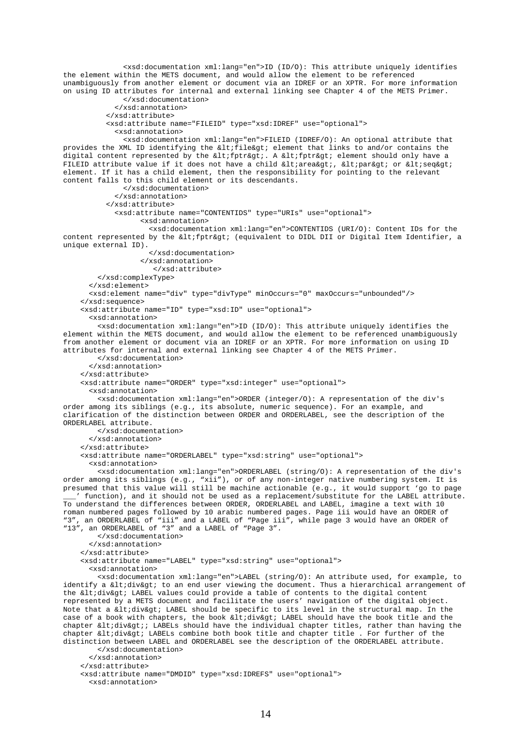<xsd:documentation xml:lang="en">ID (ID/O): This attribute uniquely identifies the element within the METS document, and would allow the element to be referenced unambiguously from another element or document via an IDREF or an XPTR. For more information on using ID attributes for internal and external linking see Chapter 4 of the METS Primer. </xsd:documentation> </xsd:annotation> </xsd:attribute> <xsd:attribute name="FILEID" type="xsd:IDREF" use="optional"> <xsd:annotation> <xsd:documentation xml:lang="en">FILEID (IDREF/O): An optional attribute that provides the XML ID identifying the  $klt$ ; file $kgt$ ; element that links to and/or contains the digital content represented by the <fptr&gt;. A &lt;fptr&gt; element should only have a FILEID attribute value if it does not have a child  $\< l$ iarea $\> g$ ;,  $\< l$ ipar $\> g$ ior  $\< l$ iseq $\> g$ i element. If it has a child element, then the responsibility for pointing to the relevant content falls to this child element or its descendants. </xsd:documentation> </xsd:annotation> </xsd:attribute> <xsd:attribute name="CONTENTIDS" type="URIs" use="optional"> <xsd:annotation> <xsd:documentation xml:lang="en">CONTENTIDS (URI/O): Content IDs for the content represented by the < fptr&gt; (equivalent to DIDL DII or Digital Item Identifier, a unique external ID). </xsd:documentation> </xsd:annotation> </xsd:attribute> </xsd:complexType> </xsd:element> <xsd:element name="div" type="divType" minOccurs="0" maxOccurs="unbounded"/> </xsd:sequence> <xsd:attribute name="ID" type="xsd:ID" use="optional"> <xsd:annotation> <xsd:documentation xml:lang="en">ID (ID/O): This attribute uniquely identifies the element within the METS document, and would allow the element to be referenced unambiguously from another element or document via an IDREF or an XPTR. For more information on using ID attributes for internal and external linking see Chapter 4 of the METS Primer. </xsd:documentation> </xsd:annotation> </xsd:attribute> <xsd:attribute name="ORDER" type="xsd:integer" use="optional"> <xsd:annotation> <xsd:documentation xml:lang="en">ORDER (integer/O): A representation of the div's order among its siblings (e.g., its absolute, numeric sequence). For an example, and clarification of the distinction between ORDER and ORDERLABEL, see the description of the ORDERLABEL attribute. </xsd:documentation> </xsd:annotation> </xsd:attribute> <xsd:attribute name="ORDERLABEL" type="xsd:string" use="optional"> <xsd:annotation> <xsd:documentation xml:lang="en">ORDERLABEL (string/O): A representation of the div's order among its siblings (e.g., "xii"), or of any non-integer native numbering system. It is presumed that this value will still be machine actionable (e.g., it would support 'go to page \_\_\_' function), and it should not be used as a replacement/substitute for the LABEL attribute. To understand the differences between ORDER, ORDERLABEL and LABEL, imagine a text with 10 roman numbered pages followed by 10 arabic numbered pages. Page iii would have an ORDER of "3", an ORDERLABEL of "iii" and a LABEL of "Page iii", while page 3 would have an ORDER of "13", an ORDERLABEL of "3" and a LABEL of "Page 3". </xsd:documentation> </xsd:annotation> </xsd:attribute> <xsd:attribute name="LABEL" type="xsd:string" use="optional"> <xsd:annotation> <xsd:documentation xml:lang="en">LABEL (string/O): An attribute used, for example, to identify a <div&gt; to an end user viewing the document. Thus a hierarchical arrangement of the <div&gt; LABEL values could provide a table of contents to the digital content represented by a METS document and facilitate the users' navigation of the digital object. Note that a altidivagt; LABEL should be specific to its level in the structural map. In the case of a book with chapters, the book <div&gt; LABEL should have the book title and the chapter <div&gt;; LABELs should have the individual chapter titles, rather than having the chapter <div&gt; LABELs combine both book title and chapter title . For further of the distinction between LABEL and ORDERLABEL see the description of the ORDERLABEL attribute. </xsd:documentation> </xsd:annotation> </xsd:attribute> <xsd:attribute name="DMDID" type="xsd:IDREFS" use="optional"> <xsd:annotation>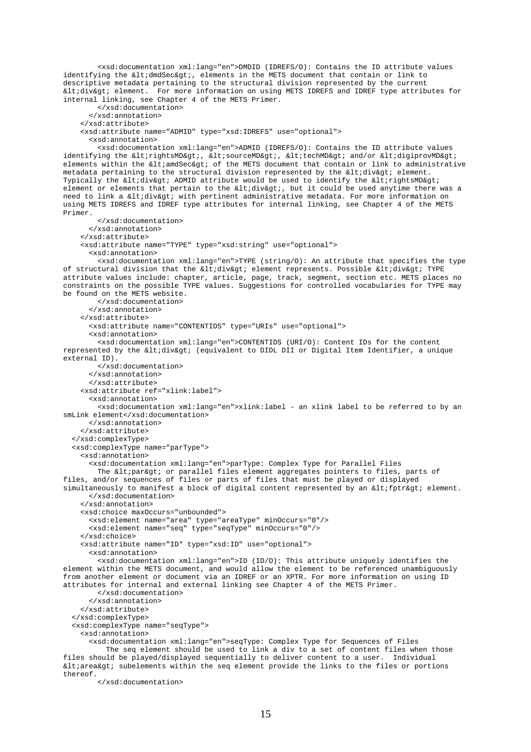<xsd:documentation xml:lang="en">DMDID (IDREFS/O): Contains the ID attribute values identifying the <dmdSec&gt;, elements in the METS document that contain or link to descriptive metadata pertaining to the structural division represented by the current <div> element. For more information on using METS IDREFS and IDREF type attributes for internal linking, see Chapter 4 of the METS Primer. </xsd:documentation>

```
 </xsd:annotation> 
     </xsd:attribute> 
     <xsd:attribute name="ADMID" type="xsd:IDREFS" use="optional"> 
       <xsd:annotation> 
         <xsd:documentation xml:lang="en">ADMID (IDREFS/O): Contains the ID attribute values 
identifying the \<lrightsMD>, <lisourceMD>, <liticchMD> and/or <ltidigiprovMD>
elements within the <amdSec&gt; of the METS document that contain or link to administrative
metadata pertaining to the structural division represented by the <div&gt; element.
Typically the <div&gt; ADMID attribute would be used to identify the &lt;rightsMD&gt;
element or elements that pertain to the <div&gt;, but it could be used anytime there was a
need to link a \<lidiv\>gt; with pertinent administrative metadata. For more information on
using METS IDREFS and IDREF type attributes for internal linking, see Chapter 4 of the METS 
Primer. 
         </xsd:documentation> 
       </xsd:annotation> 
     </xsd:attribute> 
     <xsd:attribute name="TYPE" type="xsd:string" use="optional"> 
       <xsd:annotation> 
         <xsd:documentation xml:lang="en">TYPE (string/O): An attribute that specifies the type 
of structural division that the <div&gt; element represents. Possible &lt;div&gt; TYPE
attribute values include: chapter, article, page, track, segment, section etc. METS places no 
constraints on the possible TYPE values. Suggestions for controlled vocabularies for TYPE may 
be found on the METS website. 
         </xsd:documentation> 
       </xsd:annotation> 
     </xsd:attribute> 
       <xsd:attribute name="CONTENTIDS" type="URIs" use="optional"> 
       <xsd:annotation> 
         <xsd:documentation xml:lang="en">CONTENTIDS (URI/O): Content IDs for the content 
represented by the <div&gt; (equivalent to DIDL DII or Digital Item Identifier, a unique
external ID). 
         </xsd:documentation> 
       </xsd:annotation> 
       </xsd:attribute> 
     <xsd:attribute ref="xlink:label"> 
       <xsd:annotation> 
         <xsd:documentation xml:lang="en">xlink:label - an xlink label to be referred to by an 
smLink element</xsd:documentation> 
       </xsd:annotation> 
     </xsd:attribute> 
   </xsd:complexType> 
   <xsd:complexType name="parType"> 
     <xsd:annotation> 
       <xsd:documentation xml:lang="en">parType: Complex Type for Parallel Files 
        The < par&gt; or parallel files element aggregates pointers to files, parts of
files, and/or sequences of files or parts of files that must be played or displayed 
simultaneously to manifest a block of digital content represented by an \< l firither \> l element.
       </xsd:documentation> 
     </xsd:annotation> 
     <xsd:choice maxOccurs="unbounded"> 
       <xsd:element name="area" type="areaType" minOccurs="0"/> 
       <xsd:element name="seq" type="seqType" minOccurs="0"/> 
     </xsd:choice> 
     <xsd:attribute name="ID" type="xsd:ID" use="optional"> 
       <xsd:annotation> 
         <xsd:documentation xml:lang="en">ID (ID/O): This attribute uniquely identifies the 
element within the METS document, and would allow the element to be referenced unambiguously 
from another element or document via an IDREF or an XPTR. For more information on using ID 
attributes for internal and external linking see Chapter 4 of the METS Primer. 
         </xsd:documentation> 
       </xsd:annotation> 
     </xsd:attribute> 
   </xsd:complexType> 
   <xsd:complexType name="seqType"> 
     <xsd:annotation> 
       <xsd:documentation xml:lang="en">seqType: Complex Type for Sequences of Files 
           The seq element should be used to link a div to a set of content files when those 
files should be played/displayed sequentially to deliver content to a user. Individual 
<area&gt; subelements within the seq element provide the links to the files or portions
```
</xsd:documentation>

thereof.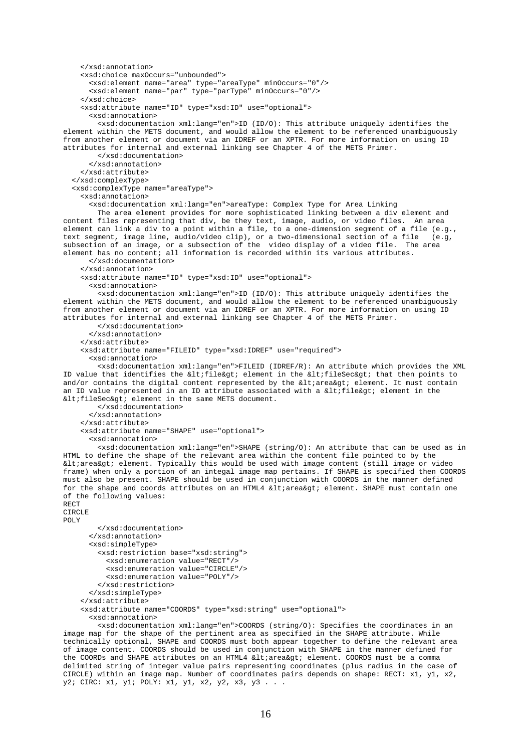```
 </xsd:annotation> 
     <xsd:choice maxOccurs="unbounded"> 
       <xsd:element name="area" type="areaType" minOccurs="0"/> 
       <xsd:element name="par" type="parType" minOccurs="0"/> 
     </xsd:choice> 
     <xsd:attribute name="ID" type="xsd:ID" use="optional"> 
       <xsd:annotation> 
         <xsd:documentation xml:lang="en">ID (ID/O): This attribute uniquely identifies the 
element within the METS document, and would allow the element to be referenced unambiguously 
from another element or document via an IDREF or an XPTR. For more information on using ID 
attributes for internal and external linking see Chapter 4 of the METS Primer. 
         </xsd:documentation> 
       </xsd:annotation> 
     </xsd:attribute> 
   </xsd:complexType> 
   <xsd:complexType name="areaType"> 
     <xsd:annotation> 
       <xsd:documentation xml:lang="en">areaType: Complex Type for Area Linking 
         The area element provides for more sophisticated linking between a div element and 
content files representing that div, be they text, image, audio, or video files. An area 
element can link a div to a point within a file, to a one-dimension segment of a file (e.g., 
text segment, image line, audio/video clip), or a two-dimensional section of a file (e.g, 
subsection of an image, or a subsection of the video display of a video file. The area 
element has no content; all information is recorded within its various attributes. 
       </xsd:documentation> 
     </xsd:annotation> 
     <xsd:attribute name="ID" type="xsd:ID" use="optional"> 
       <xsd:annotation> 
         <xsd:documentation xml:lang="en">ID (ID/O): This attribute uniquely identifies the 
element within the METS document, and would allow the element to be referenced unambiguously 
from another element or document via an IDREF or an XPTR. For more information on using ID 
attributes for internal and external linking see Chapter 4 of the METS Primer. 
         </xsd:documentation> 
       </xsd:annotation> 
     </xsd:attribute> 
     <xsd:attribute name="FILEID" type="xsd:IDREF" use="required"> 
       <xsd:annotation> 
         <xsd:documentation xml:lang="en">FILEID (IDREF/R): An attribute which provides the XML 
ID value that identifies the \<l ifile\>q; element in the \<l ifileSec> that then points to
and/or contains the digital content represented by the klti areakgti element. It must contain
an ID value represented in an ID attribute associated with a \< 1ile\> element in the
\< it: fileSec\<qt: element in the same METS document.
         </xsd:documentation> 
       </xsd:annotation> 
     </xsd:attribute> 
     <xsd:attribute name="SHAPE" use="optional"> 
       <xsd:annotation> 
         <xsd:documentation xml:lang="en">SHAPE (string/O): An attribute that can be used as in 
HTML to define the shape of the relevant area within the content file pointed to by the 
<area&gt; element. Typically this would be used with image content (still image or video
frame) when only a portion of an integal image map pertains. If SHAPE is specified then COORDS 
must also be present. SHAPE should be used in conjunction with COORDS in the manner defined 
for the shape and coords attributes on an HTML4 \< 1 area\< g element. SHAPE must contain one
of the following values: 
RECT 
CIRCLE 
POLY 
         </xsd:documentation> 
       </xsd:annotation> 
       <xsd:simpleType> 
         <xsd:restriction base="xsd:string"> 
           <xsd:enumeration value="RECT"/> 
           <xsd:enumeration value="CIRCLE"/> 
           <xsd:enumeration value="POLY"/> 
         </xsd:restriction> 
       </xsd:simpleType> 
     </xsd:attribute> 
     <xsd:attribute name="COORDS" type="xsd:string" use="optional"> 
       <xsd:annotation> 
         <xsd:documentation xml:lang="en">COORDS (string/O): Specifies the coordinates in an 
image map for the shape of the pertinent area as specified in the SHAPE attribute. While
```
technically optional, SHAPE and COORDS must both appear together to define the relevant area of image content. COORDS should be used in conjunction with SHAPE in the manner defined for the COORDs and SHAPE attributes on an HTML4  $\< 1$  area $\< t$  element. COORDS must be a comma delimited string of integer value pairs representing coordinates (plus radius in the case of CIRCLE) within an image map. Number of coordinates pairs depends on shape: RECT: x1, y1, x2, y2; CIRC: x1, y1; POLY: x1, y1, x2, y2, x3, y3 . . .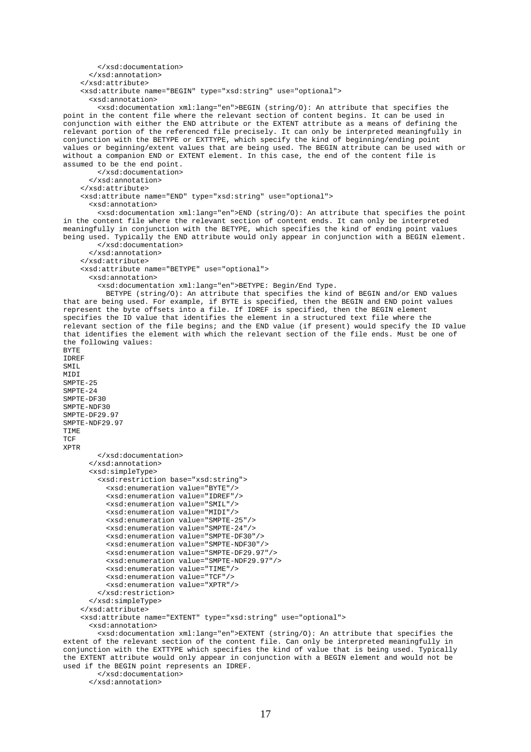```
 </xsd:documentation> 
       </xsd:annotation> 
     </xsd:attribute> 
     <xsd:attribute name="BEGIN" type="xsd:string" use="optional"> 
       <xsd:annotation> 
         <xsd:documentation xml:lang="en">BEGIN (string/O): An attribute that specifies the 
point in the content file where the relevant section of content begins. It can be used in 
conjunction with either the END attribute or the EXTENT attribute as a means of defining the 
relevant portion of the referenced file precisely. It can only be interpreted meaningfully in 
conjunction with the BETYPE or EXTTYPE, which specify the kind of beginning/ending point 
values or beginning/extent values that are being used. The BEGIN attribute can be used with or 
without a companion END or EXTENT element. In this case, the end of the content file is 
assumed to be the end point. 
         </xsd:documentation> 
       </xsd:annotation> 
     </xsd:attribute> 
     <xsd:attribute name="END" type="xsd:string" use="optional"> 
       <xsd:annotation> 
         <xsd:documentation xml:lang="en">END (string/O): An attribute that specifies the point 
in the content file where the relevant section of content ends. It can only be interpreted 
meaningfully in conjunction with the BETYPE, which specifies the kind of ending point values 
being used. Typically the END attribute would only appear in conjunction with a BEGIN element. 
         </xsd:documentation> 
       </xsd:annotation> 
     </xsd:attribute> 
     <xsd:attribute name="BETYPE" use="optional"> 
       <xsd:annotation> 
         <xsd:documentation xml:lang="en">BETYPE: Begin/End Type. 
           BETYPE (string/O): An attribute that specifies the kind of BEGIN and/or END values 
that are being used. For example, if BYTE is specified, then the BEGIN and END point values 
represent the byte offsets into a file. If IDREF is specified, then the BEGIN element 
specifies the ID value that identifies the element in a structured text file where the 
relevant section of the file begins; and the END value (if present) would specify the ID value 
that identifies the element with which the relevant section of the file ends. Must be one of 
the following values: 
BYTE 
IDREF 
SMIL 
MTDT
SMPTE-25 
SMPTE-24 
SMPTE-DF30 
SMPTE-NDF30 
SMPTE-DF29 97
SMPTE-NDF29.97 
TIME 
TCF
XPTR 
         </xsd:documentation> 
       </xsd:annotation> 
       <xsd:simpleType> 
         <xsd:restriction base="xsd:string"> 
           <xsd:enumeration value="BYTE"/> 
           <xsd:enumeration value="IDREF"/> 
           <xsd:enumeration value="SMIL"/> 
           <xsd:enumeration value="MIDI"/> 
           <xsd:enumeration value="SMPTE-25"/> 
           <xsd:enumeration value="SMPTE-24"/> 
           <xsd:enumeration value="SMPTE-DF30"/> 
           <xsd:enumeration value="SMPTE-NDF30"/> 
           <xsd:enumeration value="SMPTE-DF29.97"/> 
           <xsd:enumeration value="SMPTE-NDF29.97"/>
           <xsd:enumeration value="TIME"/> 
           <xsd:enumeration value="TCF"/> 
           <xsd:enumeration value="XPTR"/> 
         </xsd:restriction> 
       </xsd:simpleType> 
     </xsd:attribute> 
     <xsd:attribute name="EXTENT" type="xsd:string" use="optional"> 
       <xsd:annotation> 
         <xsd:documentation xml:lang="en">EXTENT (string/O): An attribute that specifies the 
extent of the relevant section of the content file. Can only be interpreted meaningfully in 
conjunction with the EXTTYPE which specifies the kind of value that is being used. Typically 
the EXTENT attribute would only appear in conjunction with a BEGIN element and would not be
```
#### used if the BEGIN point represents an IDREF.

</xsd:documentation>

</xsd:annotation>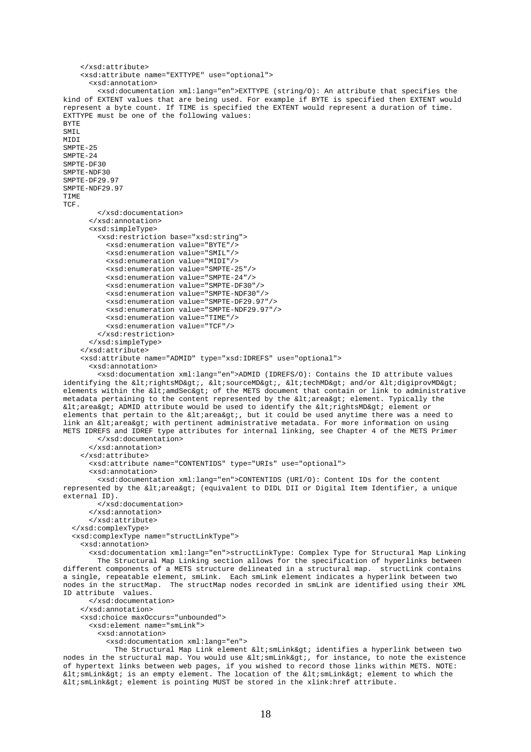```
 </xsd:attribute> 
     <xsd:attribute name="EXTTYPE" use="optional"> 
       <xsd:annotation> 
         <xsd:documentation xml:lang="en">EXTTYPE (string/O): An attribute that specifies the 
kind of EXTENT values that are being used. For example if BYTE is specified then EXTENT would 
represent a byte count. If TIME is specified the EXTENT would represent a duration of time. 
EXTTYPE must be one of the following values: 
BYTE 
SMTT.
MTDT
SMPTE-25 
SMPTE-24 
SMPTE-DF30 
SMPTE-NDF30 
SMPTE-DF29.97 
SMPTE-NDF29.97 
TIME 
TCF. 
         </xsd:documentation> 
       </xsd:annotation> 
       <xsd:simpleType> 
         <xsd:restriction base="xsd:string"> 
           <xsd:enumeration value="BYTE"/> 
           <xsd:enumeration value="SMIL"/> 
           <xsd:enumeration value="MIDI"/> 
           <xsd:enumeration value="SMPTE-25"/> 
           <xsd:enumeration value="SMPTE-24"/> 
           <xsd:enumeration value="SMPTE-DF30"/> 
           <xsd:enumeration value="SMPTE-NDF30"/> 
           <xsd:enumeration value="SMPTE-DF29.97"/> 
           <xsd:enumeration value="SMPTE-NDF29.97"/>
           <xsd:enumeration value="TIME"/> 
           <xsd:enumeration value="TCF"/> 
         </xsd:restriction> 
       </xsd:simpleType> 
     </xsd:attribute> 
     <xsd:attribute name="ADMID" type="xsd:IDREFS" use="optional"> 
       <xsd:annotation> 
         <xsd:documentation xml:lang="en">ADMID (IDREFS/O): Contains the ID attribute values 
identifying the \<lrightsMD>, <lisourceMD>, <litechMD> and/or <ltidigiprovMD>
elements within the \< 1 and \< \< \< 0 of the METS document that contain or link to administrative
metadata pertaining to the content represented by the < area&qt; element. Typically the
\< Liarea&qt; ADMID attribute would be used to identify the \< LirightsMD&qt; element or
elements that pertain to the \&ltiarea&sti, but it could be used anytime there was a need to
link an <area&gt; with pertinent administrative metadata. For more information on using
METS IDREFS and IDREF type attributes for internal linking, see Chapter 4 of the METS Primer 
         </xsd:documentation> 
       </xsd:annotation> 
     </xsd:attribute> 
       <xsd:attribute name="CONTENTIDS" type="URIs" use="optional"> 
       <xsd:annotation> 
         <xsd:documentation xml:lang="en">CONTENTIDS (URI/O): Content IDs for the content 
represented by the <area&gt; (equivalent to DIDL DII or Digital Item Identifier, a unique
external ID). 
         </xsd:documentation> 
       </xsd:annotation> 
       </xsd:attribute> 
   </xsd:complexType> 
   <xsd:complexType name="structLinkType"> 
     <xsd:annotation> 
       <xsd:documentation xml:lang="en">structLinkType: Complex Type for Structural Map Linking 
         The Structural Map Linking section allows for the specification of hyperlinks between 
different components of a METS structure delineated in a structural map. structLink contains
a single, repeatable element, smLink. Each smLink element indicates a hyperlink between two 
nodes in the structMap. The structMap nodes recorded in smLink are identified using their XML 
ID attribute values. 
       </xsd:documentation> 
     </xsd:annotation> 
     <xsd:choice maxOccurs="unbounded"> 
       <xsd:element name="smLink"> 
         <xsd:annotation> 
           <xsd:documentation xml:lang="en"> 
            The Structural Map Link element < smLink&gt; identifies a hyperlink between two
nodes in the structural map. You would use \< 1tismLink< gti, for instance, to note the existence
of hypertext links between web pages, if you wished to record those links within METS. NOTE: 
< smLink&gt; is an empty element. The location of the &lt; smLink&gt; element to which the
\<lt; smLink\>rielement is pointing MUST be stored in the xlink: href attribute.
```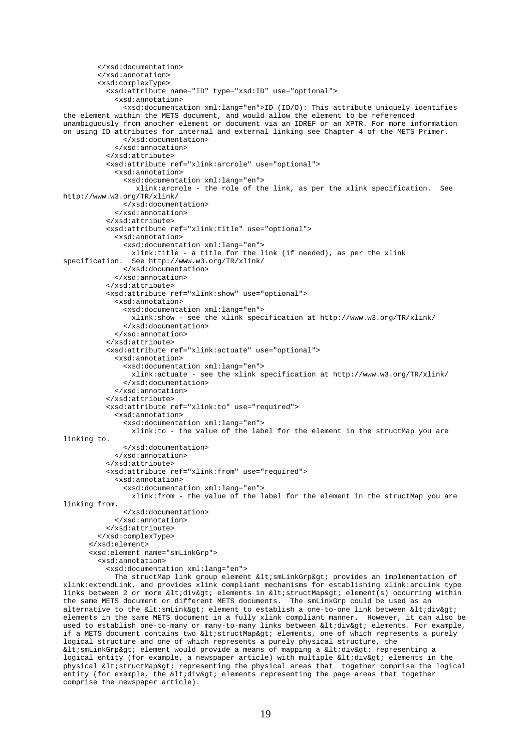```
 </xsd:documentation> 
         </xsd:annotation> 
         <xsd:complexType> 
           <xsd:attribute name="ID" type="xsd:ID" use="optional"> 
              <xsd:annotation> 
                <xsd:documentation xml:lang="en">ID (ID/O): This attribute uniquely identifies 
the element within the METS document, and would allow the element to be referenced 
unambiguously from another element or document via an IDREF or an XPTR. For more information 
on using ID attributes for internal and external linking see Chapter 4 of the METS Primer. 
                </xsd:documentation> 
              </xsd:annotation> 
           </xsd:attribute> 
           <xsd:attribute ref="xlink:arcrole" use="optional"> 
              <xsd:annotation> 
                <xsd:documentation xml:lang="en"> 
                  xlink:arcrole - the role of the link, as per the xlink specification. See 
http://www.w3.org/TR/xlink/ 
                </xsd:documentation> 
              </xsd:annotation> 
           </xsd:attribute> 
           <xsd:attribute ref="xlink:title" use="optional"> 
             <xsd:annotation> 
                <xsd:documentation xml:lang="en"> 
                 xlink:title - a title for the link (if needed), as per the xlink 
specification. See http://www.w3.org/TR/xlink/ 
                </xsd:documentation> 
              </xsd:annotation> 
           </xsd:attribute> 
           <xsd:attribute ref="xlink:show" use="optional"> 
             <xsd:annotation> 
                <xsd:documentation xml:lang="en"> 
                  xlink:show - see the xlink specification at http://www.w3.org/TR/xlink/ 
                </xsd:documentation> 
             </xsd:annotation> 
           </xsd:attribute> 
           <xsd:attribute ref="xlink:actuate" use="optional"> 
             <xsd:annotation> 
                <xsd:documentation xml:lang="en"> 
                 xlink:actuate - see the xlink specification at http://www.w3.org/TR/xlink/ 
                </xsd:documentation> 
              </xsd:annotation> 
           </xsd:attribute> 
           <xsd:attribute ref="xlink:to" use="required"> 
              <xsd:annotation> 
                <xsd:documentation xml:lang="en"> 
                 xlink:to - the value of the label for the element in the structMap you are 
linking to. 
                </xsd:documentation> 
             </xsd:annotation> 
           </xsd:attribute> 
           <xsd:attribute ref="xlink:from" use="required"> 
             <xsd:annotation> 
                <xsd:documentation xml:lang="en"> 
                  xlink:from - the value of the label for the element in the structMap you are 
linking from. 
               </xsd:documentation> 
              </xsd:annotation> 
           </xsd:attribute> 
         </xsd:complexType> 
       </xsd:element> 
       <xsd:element name="smLinkGrp"> 
         <xsd:annotation> 
           <xsd:documentation xml:lang="en"> 
            The structMap link group element < smLinkGrp&gt; provides an implementation of
xlink:extendLink, and provides xlink compliant mechanisms for establishing xlink:arcLink type 
links between 2 or more <div&gt; elements in &lt;structMap&gt; element(s) occurring within
the same METS document or different METS documents. The smLinkGrp could be used as an 
alternative to the \< 1 smLink< qt; element to establish a one-to-one link between < 1 idiv< qt;
elements in the same METS document in a fully xlink compliant manner. However, it can also be 
used to establish one-to-many or many-to-many links between <div&gt; elements. For example,
if a METS document contains two \<itistructMap\<i elements, one of which represents a purely
logical structure and one of which represents a purely physical structure, the 
< smLinkGrp&gt; element would provide a means of mapping a &lt; div&gt; representing a
logical entity (for example, a newspaper article) with multiple <div&gt; elements in the
physical <structMap&gt; representing the physical areas that together comprise the logical
entity (for example, the <div&gt; elements representing the page areas that together
```
comprise the newspaper article).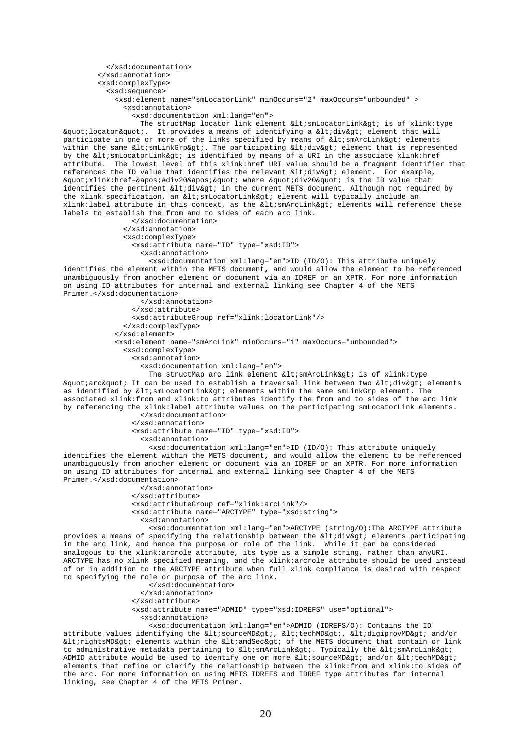</xsd:documentation> </xsd:annotation> <xsd:complexType> <xsd:sequence> <xsd:element name="smLocatorLink" minOccurs="2" maxOccurs="unbounded" > <xsd:annotation> <xsd:documentation xml:lang="en"> The structMap locator link element  $klt$ ; smLocatorLink $k$ qt; is of xlink:type "locator". It provides a means of identifying a <div&gt; element that will participate in one or more of the links specified by means of  $\< l$  ; smArcLink $\< q$ ; elements within the same <smLinkGrp&gt;. The participating &lt;div&gt; element that is represented by the  $\<1$ tismLocatorLink $\>0$  is identified by means of a URI in the associate xlink:href attribute. The lowest level of this xlink:href URI value should be a fragment identifier that references the ID value that identifies the relevant <div&gt; element. For example, "xlink:href='#div20'" where "div20" is the ID value that identifies the pertinent <div&qt; in the current METS document. Although not required by the xlink specification, an < smLocatorLink&gt; element will typically include an xlink:label attribute in this context, as the < smArcLink&gt; elements will reference these labels to establish the from and to sides of each arc link. </xsd:documentation> </xsd:annotation> <xsd:complexType> <xsd:attribute name="ID" type="xsd:ID"> <xsd:annotation> <xsd:documentation xml:lang="en">ID (ID/O): This attribute uniquely identifies the element within the METS document, and would allow the element to be referenced unambiguously from another element or document via an IDREF or an XPTR. For more information on using ID attributes for internal and external linking see Chapter 4 of the METS Primer.</xsd:documentation> </xsd:annotation> </xsd:attribute> <xsd:attributeGroup ref="xlink:locatorLink"/> </xsd:complexType> </xsd:element> <xsd:element name="smArcLink" minOccurs="1" maxOccurs="unbounded"> <xsd:complexType> <xsd:annotation> <xsd:documentation xml:lang="en"> The structMap arc link element  $\< 1$  is  $\> 0$  is of xlink:type " arc" It can be used to establish a traversal link between two <div&gt; elements as identified by < smLocatorLink&gt; elements within the same smLinkGrp element. The associated xlink:from and xlink:to attributes identify the from and to sides of the arc link by referencing the xlink: label attribute values on the participating smLocatorLink elements. </xsd:documentation> </xsd:annotation> <xsd:attribute name="ID" type="xsd:ID"> <xsd:annotation> <xsd:documentation xml:lang="en">ID (ID/O): This attribute uniquely identifies the element within the METS document, and would allow the element to be referenced unambiguously from another element or document via an IDREF or an XPTR. For more information on using ID attributes for internal and external linking see Chapter 4 of the METS Primer.</xsd:documentation> </xsd:annotation> </xsd:attribute> <xsd:attributeGroup ref="xlink:arcLink"/> <xsd:attribute name="ARCTYPE" type="xsd:string"> <xsd:annotation> <xsd:documentation xml:lang="en">ARCTYPE (string/O):The ARCTYPE attribute provides a means of specifying the relationship between the  $\<$ iltio $\<$ qi $\>$ ilements participating in the arc link, and hence the purpose or role of the link. While it can be considered analogous to the xlink: arcrole attribute, its type is a simple string, rather than anyURI. ARCTYPE has no xlink specified meaning, and the xlink:arcrole attribute should be used instead of or in addition to the ARCTYPE attribute when full xlink compliance is desired with respect to specifying the role or purpose of the arc link. </xsd:documentation> </xsd:annotation> </xsd:attribute> <xsd:attribute name="ADMID" type="xsd:IDREFS" use="optional"> <xsd:annotation>

 <xsd:documentation xml:lang="en">ADMID (IDREFS/O): Contains the ID attribute values identifying the <sourceMD&gt;, &lt;techMD&gt;, &lt;digiprovMD&gt; and/or  $&dt$ irightsMD> elements within the  $&dt$ iamdSec> of the METS document that contain or link to administrative metadata pertaining to  $\< l$  ; mArcLink $< g$ t. Typically the  $< l$  ; mArcLink $< g$ t. ADMID attribute would be used to identify one or more  $\<1$ tisourceMD&gti and/or  $\<1$ titechMD&gti elements that refine or clarify the relationship between the xlink:from and xlink:to sides of the arc. For more information on using METS IDREFS and IDREF type attributes for internal linking, see Chapter 4 of the METS Primer.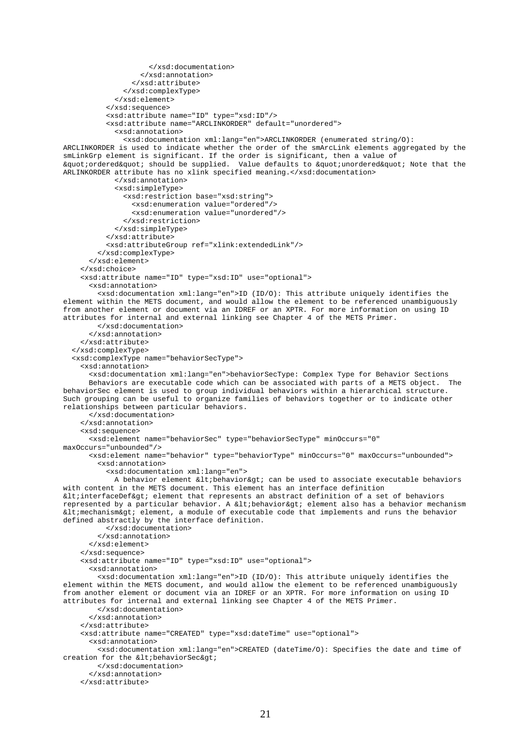```
 </xsd:documentation> 
                    </xsd:annotation> 
                 </xsd:attribute> 
               </xsd:complexType> 
             </xsd:element> 
           </xsd:sequence> 
           <xsd:attribute name="ID" type="xsd:ID"/> 
           <xsd:attribute name="ARCLINKORDER" default="unordered"> 
             <xsd:annotation> 
               <xsd:documentation xml:lang="en">ARCLINKORDER (enumerated string/O): 
ARCLINKORDER is used to indicate whether the order of the smArcLink elements aggregated by the 
smLinkGrp element is significant. If the order is significant, then a value of 
"ordered" should be supplied. Value defaults to "unordered" Note that the
ARLINKORDER attribute has no xlink specified meaning.</xsd:documentation>
             </xsd:annotation> 
             <xsd:simpleType> 
               <xsd:restriction base="xsd:string"> 
                 <xsd:enumeration value="ordered"/> 
                 <xsd:enumeration value="unordered"/> 
               </xsd:restriction> 
             </xsd:simpleType> 
           </xsd:attribute> 
           <xsd:attributeGroup ref="xlink:extendedLink"/> 
         </xsd:complexType> 
       </xsd:element> 
     </xsd:choice> 
     <xsd:attribute name="ID" type="xsd:ID" use="optional"> 
       <xsd:annotation> 
         <xsd:documentation xml:lang="en">ID (ID/O): This attribute uniquely identifies the 
element within the METS document, and would allow the element to be referenced unambiguously 
from another element or document via an IDREF or an XPTR. For more information on using ID 
attributes for internal and external linking see Chapter 4 of the METS Primer. 
         </xsd:documentation> 
       </xsd:annotation> 
     </xsd:attribute> 
   </xsd:complexType> 
   <xsd:complexType name="behaviorSecType"> 
     <xsd:annotation> 
       <xsd:documentation xml:lang="en">behaviorSecType: Complex Type for Behavior Sections 
       Behaviors are executable code which can be associated with parts of a METS object. The 
behaviorSec element is used to group individual behaviors within a hierarchical structure. 
Such grouping can be useful to organize families of behaviors together or to indicate other 
relationships between particular behaviors. 
       </xsd:documentation> 
     </xsd:annotation> 
     <xsd:sequence> 
       <xsd:element name="behaviorSec" type="behaviorSecType" minOccurs="0" 
maxOccurs="unbounded"/> 
       <xsd:element name="behavior" type="behaviorType" minOccurs="0" maxOccurs="unbounded"> 
         <xsd:annotation> 
           <xsd:documentation xml:lang="en"> 
            A behavior element < behavior&gt; can be used to associate executable behaviors
with content in the METS document. This element has an interface definition 
< interfaceDef&gt; element that represents an abstract definition of a set of behaviors
represented by a particular behavior. A < behavior &qt; element also has a behavior mechanism
\<lt; mechanism\>r element, a module of executable code that implements and runs the behavior
defined abstractly by the interface definition. 
           </xsd:documentation> 
         </xsd:annotation> 
       </xsd:element> 
     </xsd:sequence> 
     <xsd:attribute name="ID" type="xsd:ID" use="optional"> 
       <xsd:annotation> 
         <xsd:documentation xml:lang="en">ID (ID/O): This attribute uniquely identifies the 
element within the METS document, and would allow the element to be referenced unambiguously 
from another element or document via an IDREF or an XPTR. For more information on using ID 
attributes for internal and external linking see Chapter 4 of the METS Primer. 
         </xsd:documentation> 
       </xsd:annotation> 
     </xsd:attribute> 
     <xsd:attribute name="CREATED" type="xsd:dateTime" use="optional"> 
       <xsd:annotation> 
         <xsd:documentation xml:lang="en">CREATED (dateTime/O): Specifies the date and time of 
creation for the < behaviorSec&qt;
         </xsd:documentation> 
       </xsd:annotation> 
     </xsd:attribute>
```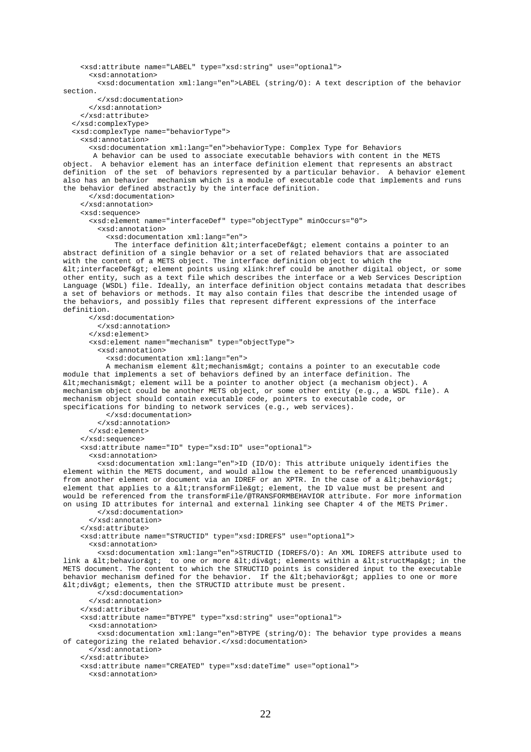<xsd:attribute name="LABEL" type="xsd:string" use="optional"> <xsd:annotation> <xsd:documentation xml:lang="en">LABEL (string/O): A text description of the behavior section. </xsd:documentation> </xsd:annotation> </xsd:attribute> </xsd:complexType> <xsd:complexType name="behaviorType"> <xsd:annotation> <xsd:documentation xml:lang="en">behaviorType: Complex Type for Behaviors A behavior can be used to associate executable behaviors with content in the METS object. A behavior element has an interface definition element that represents an abstract definition of the set of behaviors represented by a particular behavior. A behavior element also has an behavior mechanism which is a module of executable code that implements and runs the behavior defined abstractly by the interface definition. </xsd:documentation> </xsd:annotation> <xsd:sequence> <xsd:element name="interfaceDef" type="objectType" minOccurs="0"> <xsd:annotation> <xsd:documentation xml:lang="en"> The interface definition < interfaceDef&gt; element contains a pointer to an abstract definition of a single behavior or a set of related behaviors that are associated with the content of a METS object. The interface definition object to which the < interfaceDef&gt; element points using xlink: href could be another digital object, or some other entity, such as a text file which describes the interface or a Web Services Description Language (WSDL) file. Ideally, an interface definition object contains metadata that describes a set of behaviors or methods. It may also contain files that describe the intended usage of the behaviors, and possibly files that represent different expressions of the interface definition. </xsd:documentation> </xsd:annotation> </xsd:element> <xsd:element name="mechanism" type="objectType"> <xsd:annotation> <xsd:documentation xml:lang="en"> A mechanism element < mechanism&gt; contains a pointer to an executable code module that implements a set of behaviors defined by an interface definition. The <mechanism> element will be a pointer to another object (a mechanism object). A mechanism object could be another METS object, or some other entity (e.g., a WSDL file). A mechanism object should contain executable code, pointers to executable code, or specifications for binding to network services (e.g., web services). </xsd:documentation> </xsd:annotation> </xsd:element> </xsd:sequence> <xsd:attribute name="ID" type="xsd:ID" use="optional"> <xsd:annotation> <xsd:documentation xml:lang="en">ID (ID/O): This attribute uniquely identifies the element within the METS document, and would allow the element to be referenced unambiguously from another element or document via an IDREF or an XPTR. In the case of a < behavior &gt; element that applies to a <transformFile&gt; element, the ID value must be present and would be referenced from the transformFile/@TRANSFORMBEHAVIOR attribute. For more information on using ID attributes for internal and external linking see Chapter 4 of the METS Primer. </xsd:documentation> </xsd:annotation> </xsd:attribute> <xsd:attribute name="STRUCTID" type="xsd:IDREFS" use="optional"> <xsd:annotation> <xsd:documentation xml:lang="en">STRUCTID (IDREFS/O): An XML IDREFS attribute used to link a < behavior&gt; to one or more &lt; div&gt; elements within a &lt; structMap&gt; in the METS document. The content to which the STRUCTID points is considered input to the executable behavior mechanism defined for the behavior. If the  $\<$ ibehavior $\<$ qt; applies to one or more <div&gt; elements, then the STRUCTID attribute must be present. </xsd:documentation> </xsd:annotation> </xsd:attribute> <xsd:attribute name="BTYPE" type="xsd:string" use="optional"> <xsd:annotation> <xsd:documentation xml:lang="en">BTYPE (string/O): The behavior type provides a means of categorizing the related behavior.</xsd:documentation> </xsd:annotation> </xsd:attribute> <xsd:attribute name="CREATED" type="xsd:dateTime" use="optional"> <xsd:annotation>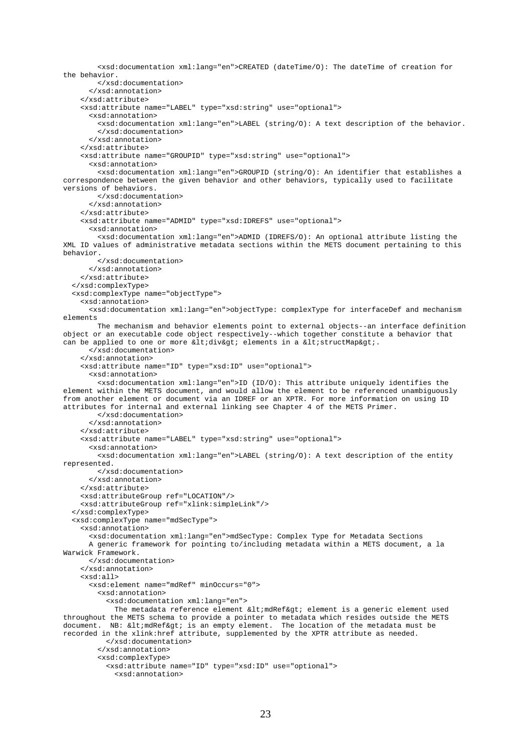```
 <xsd:documentation xml:lang="en">CREATED (dateTime/O): The dateTime of creation for 
the behavior. 
         </xsd:documentation> 
       </xsd:annotation> 
     </xsd:attribute> 
     <xsd:attribute name="LABEL" type="xsd:string" use="optional"> 
       <xsd:annotation> 
         <xsd:documentation xml:lang="en">LABEL (string/O): A text description of the behavior. 
         </xsd:documentation> 
       </xsd:annotation> 
     </xsd:attribute> 
     <xsd:attribute name="GROUPID" type="xsd:string" use="optional"> 
       <xsd:annotation> 
         <xsd:documentation xml:lang="en">GROUPID (string/O): An identifier that establishes a 
correspondence between the given behavior and other behaviors, typically used to facilitate 
versions of behaviors. 
         </xsd:documentation> 
       </xsd:annotation> 
     </xsd:attribute> 
     <xsd:attribute name="ADMID" type="xsd:IDREFS" use="optional"> 
       <xsd:annotation> 
         <xsd:documentation xml:lang="en">ADMID (IDREFS/O): An optional attribute listing the 
XML ID values of administrative metadata sections within the METS document pertaining to this 
behavior. 
         </xsd:documentation> 
       </xsd:annotation> 
     </xsd:attribute> 
   </xsd:complexType> 
   <xsd:complexType name="objectType"> 
     <xsd:annotation> 
       <xsd:documentation xml:lang="en">objectType: complexType for interfaceDef and mechanism 
elements 
         The mechanism and behavior elements point to external objects--an interface definition 
object or an executable code object respectively--which together constitute a behavior that 
can be applied to one or more <div&gt; elements in a &lt;structMap&gt;.
       </xsd:documentation> 
     </xsd:annotation> 
     <xsd:attribute name="ID" type="xsd:ID" use="optional"> 
       <xsd:annotation> 
         <xsd:documentation xml:lang="en">ID (ID/O): This attribute uniquely identifies the 
element within the METS document, and would allow the element to be referenced unambiguously 
from another element or document via an IDREF or an XPTR. For more information on using ID 
attributes for internal and external linking see Chapter 4 of the METS Primer. 
         </xsd:documentation> 
       </xsd:annotation> 
     </xsd:attribute> 
     <xsd:attribute name="LABEL" type="xsd:string" use="optional"> 
       <xsd:annotation> 
         <xsd:documentation xml:lang="en">LABEL (string/O): A text description of the entity 
represented. 
         </xsd:documentation> 
       </xsd:annotation> 
     </xsd:attribute> 
     <xsd:attributeGroup ref="LOCATION"/> 
     <xsd:attributeGroup ref="xlink:simpleLink"/> 
   </xsd:complexType> 
   <xsd:complexType name="mdSecType"> 
     <xsd:annotation> 
       <xsd:documentation xml:lang="en">mdSecType: Complex Type for Metadata Sections 
       A generic framework for pointing to/including metadata within a METS document, a la 
Warwick Framework. 
       </xsd:documentation> 
     </xsd:annotation> 
     <xsd:all> 
       <xsd:element name="mdRef" minOccurs="0"> 
         <xsd:annotation> 
           <xsd:documentation xml:lang="en"> 
            The metadata reference element <mdRef&gt; element is a generic element used
throughout the METS schema to provide a pointer to metadata which resides outside the METS 
document. NB: < mdRef&gt; is an empty element. The location of the metadata must be
recorded in the xlink:href attribute, supplemented by the XPTR attribute as needed. 
           </xsd:documentation> 
         </xsd:annotation> 
         <xsd:complexType> 
           <xsd:attribute name="ID" type="xsd:ID" use="optional"> 
             <xsd:annotation>
```

```
23
```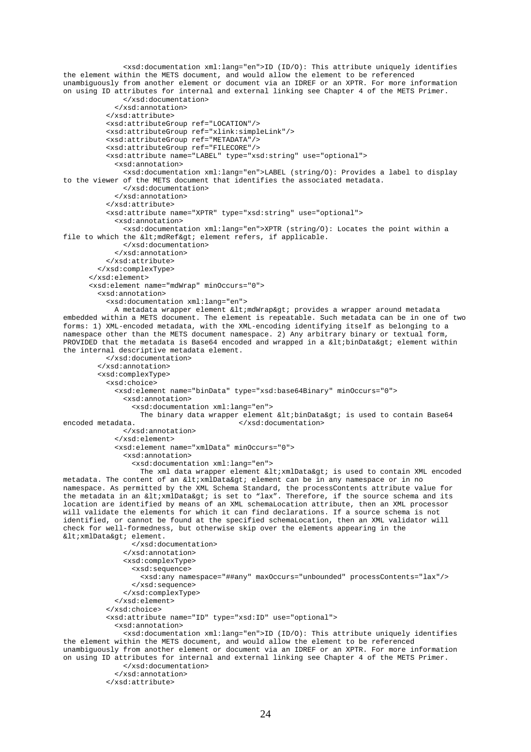```
 <xsd:documentation xml:lang="en">ID (ID/O): This attribute uniquely identifies 
the element within the METS document, and would allow the element to be referenced 
unambiguously from another element or document via an IDREF or an XPTR. For more information 
on using ID attributes for internal and external linking see Chapter 4 of the METS Primer. 
               </xsd:documentation> 
              </xsd:annotation> 
           </xsd:attribute> 
           <xsd:attributeGroup ref="LOCATION"/> 
           <xsd:attributeGroup ref="xlink:simpleLink"/> 
           <xsd:attributeGroup ref="METADATA"/> 
           <xsd:attributeGroup ref="FILECORE"/> 
           <xsd:attribute name="LABEL" type="xsd:string" use="optional"> 
             <xsd:annotation> 
               <xsd:documentation xml:lang="en">LABEL (string/O): Provides a label to display 
to the viewer of the METS document that identifies the associated metadata. 
               </xsd:documentation> 
             </xsd:annotation> 
           </xsd:attribute> 
           <xsd:attribute name="XPTR" type="xsd:string" use="optional"> 
             <xsd:annotation> 
               <xsd:documentation xml:lang="en">XPTR (string/O): Locates the point within a 
file to which the \<1t mdRef\<qt element refers, if applicable.
               </xsd:documentation> 
             </xsd:annotation> 
           </xsd:attribute> 
         </xsd:complexType> 
       </xsd:element> 
       <xsd:element name="mdWrap" minOccurs="0"> 
         <xsd:annotation> 
           <xsd:documentation xml:lang="en"> 
            A metadata wrapper element <mdWrap&gt; provides a wrapper around metadata
embedded within a METS document. The element is repeatable. Such metadata can be in one of two 
forms: 1) XML-encoded metadata, with the XML-encoding identifying itself as belonging to a 
namespace other than the METS document namespace. 2) Any arbitrary binary or textual form, 
PROVIDED that the metadata is Base64 encoded and wrapped in a \< l:binData\> g element within
the internal descriptive metadata element. 
           </xsd:documentation> 
         </xsd:annotation> 
         <xsd:complexType> 
           <xsd:choice> 
             <xsd:element name="binData" type="xsd:base64Binary" minOccurs="0"> 
               <xsd:annotation> 
                 <xsd:documentation xml:lang="en"> 
                  The binary data wrapper element \< 1tibinData\< gtis used to contain Base64
encoded metadata. </xsd:documentation> 
               </xsd:annotation> 
             </xsd:element> 
             <xsd:element name="xmlData" minOccurs="0"> 
                <xsd:annotation> 
                 <xsd:documentation xml:lang="en"> 
                  The xml data wrapper element < xmlData&qt; is used to contain XML encoded
metadata. The content of an < xmlData&gt; element can be in any namespace or in no
namespace. As permitted by the XML Schema Standard, the processContents attribute value for 
the metadata in an < xmlData&qt; is set to "lax". Therefore, if the source schema and its
location are identified by means of an XML schemaLocation attribute, then an XML processor 
will validate the elements for which it can find declarations. If a source schema is not 
identified, or cannot be found at the specified schemaLocation, then an XML validator will 
check for well-formedness, but otherwise skip over the elements appearing in the 
<xmlData&gt; element.
                 </xsd:documentation> 
               </xsd:annotation> 
               <xsd:complexType> 
                 <xsd:sequence> 
                    <xsd:any namespace="##any" maxOccurs="unbounded" processContents="lax"/> 
                 </xsd:sequence> 
               </xsd:complexType> 
             </xsd:element> 
           </xsd:choice> 
           <xsd:attribute name="ID" type="xsd:ID" use="optional"> 
             <xsd:annotation> 
               <xsd:documentation xml:lang="en">ID (ID/O): This attribute uniquely identifies 
the element within the METS document, and would allow the element to be referenced 
unambiguously from another element or document via an IDREF or an XPTR. For more information 
on using ID attributes for internal and external linking see Chapter 4 of the METS Primer. 
               </xsd:documentation> 
             </xsd:annotation> 
           </xsd:attribute>
```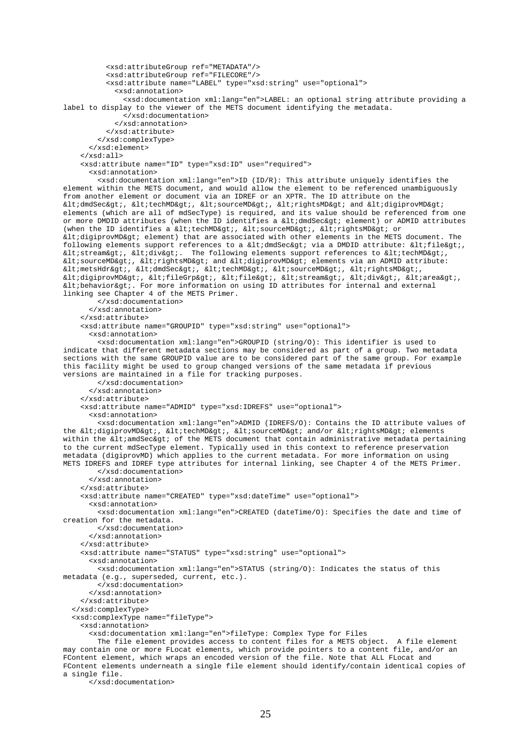```
 <xsd:attributeGroup ref="METADATA"/> 
           <xsd:attributeGroup ref="FILECORE"/> 
           <xsd:attribute name="LABEL" type="xsd:string" use="optional"> 
             <xsd:annotation> 
               <xsd:documentation xml:lang="en">LABEL: an optional string attribute providing a 
label to display to the viewer of the METS document identifying the metadata. 
               </xsd:documentation> 
             </xsd:annotation> 
           </xsd:attribute> 
         </xsd:complexType> 
       </xsd:element> 
     </xsd:all> 
     <xsd:attribute name="ID" type="xsd:ID" use="required"> 
       <xsd:annotation> 
         <xsd:documentation xml:lang="en">ID (ID/R): This attribute uniquely identifies the 
element within the METS document, and would allow the element to be referenced unambiguously 
from another element or document via an IDREF or an XPTR. The ID attribute on the 
<dmdSec&gt;, &lt;techMD&gt;, &lt;sourceMD&gt;, &lt;rightsMD&gt; and &lt;digiprovMD&gt;
elements (which are all of mdSecType) is required, and its value should be referenced from one 
or more DMDID attributes (when the ID identifies a \<1 dmdSec\> element) or ADMID attributes
(when the ID identifies a <1 itechMD&qt;, <1 isourceMD&qt;, <1 irightsMD&qt; or
<digiprovMD> element) that are associated with other elements in the METS document. The 
following elements support references to a \<ltdmdSec\<gt;l via a DMDID attribute: \<ltile\>q<stream&gt;, &lt;div&gt;. The following elements support references to &lt;techMD&gt;,
\<itisourceMD&gti, \<itightsMD&gti and \<itigiprovMD&gti elements via an ADMID attribute:
<metsHdr&gt;, &lt;dmdSec&gt;, &lt;techMD&gt;, &lt;sourceMD&gt;, &lt;rightsMD&gt;,
<digiprovMD&gt;, &lt;fileGrp&gt;, &lt;file&gt;, &lt;stream&gt;, &lt;div&gt;, &lt;area&gt;,
<behavior>. For more information on using ID attributes for internal and external 
linking see Chapter 4 of the METS Primer. 
         </xsd:documentation> 
       </xsd:annotation> 
     </xsd:attribute> 
     <xsd:attribute name="GROUPID" type="xsd:string" use="optional"> 
       <xsd:annotation> 
         <xsd:documentation xml:lang="en">GROUPID (string/O): This identifier is used to 
indicate that different metadata sections may be considered as part of a group. Two metadata 
sections with the same GROUPID value are to be considered part of the same group. For example 
this facility might be used to group changed versions of the same metadata if previous 
versions are maintained in a file for tracking purposes. 
         </xsd:documentation> 
       </xsd:annotation> 
     </xsd:attribute> 
     <xsd:attribute name="ADMID" type="xsd:IDREFS" use="optional"> 
       <xsd:annotation> 
         <xsd:documentation xml:lang="en">ADMID (IDREFS/O): Contains the ID attribute values of 
the <digiprovMD&gt;, &lt;techMD&gt;, &lt;sourceMD&gt; and/or &lt;rightsMD&gt; elements
within the \<1tiamdSec\<0 of the METS document that contain administrative metadata pertaining
to the current mdSecType element. Typically used in this context to reference preservation 
metadata (digiprovMD) which applies to the current metadata. For more information on using 
METS IDREFS and IDREF type attributes for internal linking, see Chapter 4 of the METS Primer. 
         </xsd:documentation> 
       </xsd:annotation> 
     </xsd:attribute> 
     <xsd:attribute name="CREATED" type="xsd:dateTime" use="optional"> 
       <xsd:annotation> 
         <xsd:documentation xml:lang="en">CREATED (dateTime/O): Specifies the date and time of 
creation for the metadata. 
         </xsd:documentation> 
       </xsd:annotation> 
     </xsd:attribute> 
     <xsd:attribute name="STATUS" type="xsd:string" use="optional"> 
       <xsd:annotation> 
         <xsd:documentation xml:lang="en">STATUS (string/O): Indicates the status of this 
metadata (e.g., superseded, current, etc.). 
         </xsd:documentation> 
       </xsd:annotation> 
     </xsd:attribute> 
   </xsd:complexType> 
   <xsd:complexType name="fileType"> 
     <xsd:annotation> 
       <xsd:documentation xml:lang="en">fileType: Complex Type for Files 
         The file element provides access to content files for a METS object. A file element 
may contain one or more FLocat elements, which provide pointers to a content file, and/or an 
FContent element, which wraps an encoded version of the file. Note that ALL FLocat and 
FContent elements underneath a single file element should identify/contain identical copies of 
a single file.
```
</xsd:documentation>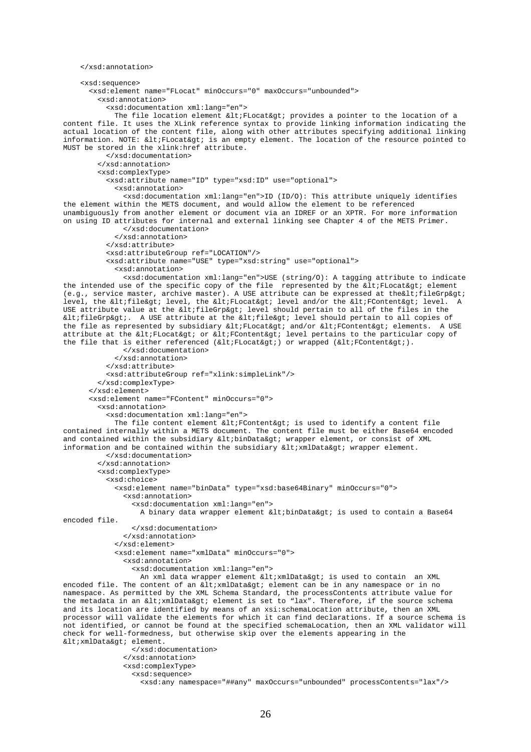```
 </xsd:annotation> 
     <xsd:sequence> 
       <xsd:element name="FLocat" minOccurs="0" maxOccurs="unbounded"> 
         <xsd:annotation> 
           <xsd:documentation xml:lang="en"> 
            The file location element \< l ; FLocat\< q provides a pointer to the location of a
content file. It uses the XLink reference syntax to provide linking information indicating the 
actual location of the content file, along with other attributes specifying additional linking 
information. NOTE: <1 is an empty element. The location of the resource pointed to
MUST be stored in the xlink:href attribute. 
           </xsd:documentation> 
         </xsd:annotation> 
         <xsd:complexType> 
           <xsd:attribute name="ID" type="xsd:ID" use="optional"> 
             <xsd:annotation> 
               <xsd:documentation xml:lang="en">ID (ID/O): This attribute uniquely identifies 
the element within the METS document, and would allow the element to be referenced 
unambiguously from another element or document via an IDREF or an XPTR. For more information 
on using ID attributes for internal and external linking see Chapter 4 of the METS Primer. 
               </xsd:documentation> 
             </xsd:annotation> 
           </xsd:attribute> 
           <xsd:attributeGroup ref="LOCATION"/> 
           <xsd:attribute name="USE" type="xsd:string" use="optional"> 
             <xsd:annotation> 
               <xsd:documentation xml:lang="en">USE (string/O): A tagging attribute to indicate 
the intended use of the specific copy of the file represented by the \< l FLocat\> g element
(e.g., service master, archive master). A USE attribute can be expressed at the altifile Grp \alphadt;
level, the <file&gt; level, the &lt;FLocat&gt; level and/or the &lt;FContent&gt; level. A
USE attribute value at the <fileGrp&gt; level should pertain to all of the files in the
\text{alt}: fileGrp>. A USE attribute at the \text{alt}: file> level should pertain to all copies of
the file as represented by subsidiary <FLocat&qt; and/or &lt;FContent&qt; elements. A USE
attribute at the <FLocat&gt; or &lt;FContent&gt; level pertains to the particular copy of
the file that is either referenced (\<lt;t) or wrapped (\<lt;t).
               </xsd:documentation> 
             </xsd:annotation> 
           </xsd:attribute> 
           <xsd:attributeGroup ref="xlink:simpleLink"/> 
         </xsd:complexType> 
       </xsd:element> 
       <xsd:element name="FContent" minOccurs="0"> 
         <xsd:annotation> 
           <xsd:documentation xml:lang="en"> 
            The file content element \< l: FContent\< qt; is used to identify a content file
contained internally within a METS document. The content file must be either Base64 encoded 
and contained within the subsidiary <binData&gt; wrapper element, or consist of XML
information and be contained within the subsidiary \<1tixmlData> wrapper element.
           </xsd:documentation> 
         </xsd:annotation> 
         <xsd:complexType> 
           <xsd:choice> 
             <xsd:element name="binData" type="xsd:base64Binary" minOccurs="0"> 
               <xsd:annotation> 
                 <xsd:documentation xml:lang="en"> 
                  A binary data wrapper element \< 1tibinData\< t is used to contain a Base64
encoded file. 
                 </xsd:documentation> 
               </xsd:annotation> 
             </xsd:element> 
             <xsd:element name="xmlData" minOccurs="0"> 
               <xsd:annotation> 
                 <xsd:documentation xml:lang="en"> 
                  An xml data wrapper element < xmlData&qt; is used to contain an XML
encoded file. The content of an \<1 ixmlData\<qt; element can be in any namespace or in no
namespace. As permitted by the XML Schema Standard, the processContents attribute value for 
the metadata in an \< l xmlData\< qt element is set to "lax". Therefore, if the source schema
and its location are identified by means of an xsi:schemaLocation attribute, then an XML 
processor will validate the elements for which it can find declarations. If a source schema is 
not identified, or cannot be found at the specified schemaLocation, then an XML validator will 
check for well-formedness, but otherwise skip over the elements appearing in the 
<xmlData&gt; element.
                 </xsd:documentation> 
               </xsd:annotation> 
               <xsd:complexType> 
                 <xsd:sequence> 
                    <xsd:any namespace="##any" maxOccurs="unbounded" processContents="lax"/>
```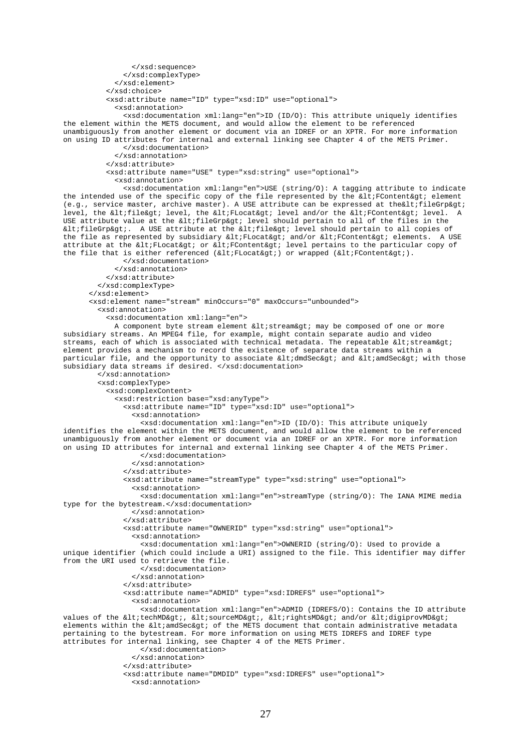```
 </xsd:sequence> 
               </xsd:complexType> 
             </xsd:element> 
           </xsd:choice> 
           <xsd:attribute name="ID" type="xsd:ID" use="optional"> 
             <xsd:annotation> 
               <xsd:documentation xml:lang="en">ID (ID/O): This attribute uniquely identifies 
the element within the METS document, and would allow the element to be referenced 
unambiguously from another element or document via an IDREF or an XPTR. For more information 
on using ID attributes for internal and external linking see Chapter 4 of the METS Primer. 
               </xsd:documentation> 
              </xsd:annotation> 
           </xsd:attribute> 
           <xsd:attribute name="USE" type="xsd:string" use="optional"> 
             <xsd:annotation> 
               <xsd:documentation xml:lang="en">USE (string/O): A tagging attribute to indicate 
the intended use of the specific copy of the file represented by the dt: FContent gt; element
(e.g., service master, archive master). A USE attribute can be expressed at the < fileGrp &gt;
level, the <file&gt; level, the &lt;FLocat&gt; level and/or the &lt;FContent&gt; level. A
USE attribute value at the alt; fileGrpagt; level should pertain to all of the files in the
\text{alt}; fileGrp&qt;. A USE attribute at the \text{alt}; file&qt; level should pertain to all copies of
the file as represented by subsidiary <FLocat&gt; and/or &lt;FContent&gt; elements. A USE
attribute at the <FLocat&gt; or &lt;FContent&gt; level pertains to the particular copy of
the file that is either referenced (\<l:FLocat\<qt;) or wrapped (\<l:FContent\<qt;).
               </xsd:documentation> 
             </xsd:annotation> 
           </xsd:attribute> 
         </xsd:complexType> 
       </xsd:element> 
       <xsd:element name="stream" minOccurs="0" maxOccurs="unbounded"> 
         <xsd:annotation> 
           <xsd:documentation xml:lang="en"> 
            A component byte stream element < stream&qt; may be composed of one or more
subsidiary streams. An MPEG4 file, for example, might contain separate audio and video 
streams, each of which is associated with technical metadata. The repeatable \<1tistream\<1element provides a mechanism to record the existence of separate data streams within a 
particular file, and the opportunity to associate <dmdSec&gt; and &lt;amdSec&gt; with those
subsidiary data streams if desired. </xsd:documentation>
         </xsd:annotation> 
         <xsd:complexType> 
           <xsd:complexContent> 
             <xsd:restriction base="xsd:anyType"> 
               <xsd:attribute name="ID" type="xsd:ID" use="optional"> 
                  <xsd:annotation> 
                    <xsd:documentation xml:lang="en">ID (ID/O): This attribute uniquely 
identifies the element within the METS document, and would allow the element to be referenced 
unambiguously from another element or document via an IDREF or an XPTR. For more information 
on using ID attributes for internal and external linking see Chapter 4 of the METS Primer. 
                    </xsd:documentation> 
                  </xsd:annotation> 
               </xsd:attribute> 
               <xsd:attribute name="streamType" type="xsd:string" use="optional"> 
                 <xsd:annotation> 
                    <xsd:documentation xml:lang="en">streamType (string/O): The IANA MIME media 
type for the bytestream.</xsd:documentation> 
                 </xsd:annotation> 
                </xsd:attribute> 
               <xsd:attribute name="OWNERID" type="xsd:string" use="optional"> 
                 <xsd:annotation> 
                   <xsd:documentation xml:lang="en">OWNERID (string/O): Used to provide a 
unique identifier (which could include a URI) assigned to the file. This identifier may differ 
from the URI used to retrieve the file. 
                   </xsd:documentation> 
                  </xsd:annotation> 
               </xsd:attribute> 
               <xsd:attribute name="ADMID" type="xsd:IDREFS" use="optional"> 
                 <xsd:annotation> 
                   <xsd:documentation xml:lang="en">ADMID (IDREFS/O): Contains the ID attribute 
values of the <techMD&gt;, &lt;sourceMD&gt;, &lt;rightsMD&gt; and/or &lt;digiprovMD&gt;
elements within the \< 1 and \< \< 0 of the METS document that contain administrative metadata
pertaining to the bytestream. For more information on using METS IDREFS and IDREF type 
attributes for internal linking, see Chapter 4 of the METS Primer. 
                   </xsd:documentation> 
                 </xsd:annotation> 
               </xsd:attribute> 
               <xsd:attribute name="DMDID" type="xsd:IDREFS" use="optional"> 
                 <xsd:annotation>
```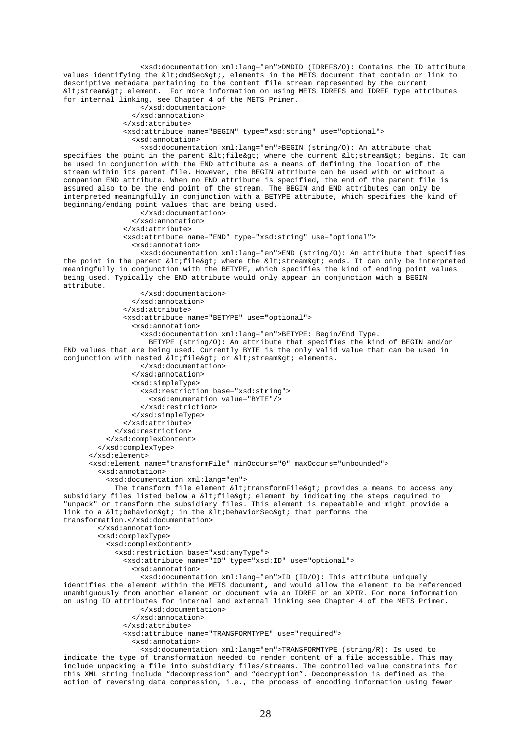<xsd:documentation xml:lang="en">DMDID (IDREFS/O): Contains the ID attribute values identifying the <dmdSec&gt;, elements in the METS document that contain or link to descriptive metadata pertaining to the content file stream represented by the current < stream&qt; element. For more information on using METS IDREFS and IDREF type attributes for internal linking, see Chapter 4 of the METS Primer.

```
 </xsd:documentation> 
   </xsd:annotation> 
 </xsd:attribute> 
 <xsd:attribute name="BEGIN" type="xsd:string" use="optional"> 
   <xsd:annotation>
```
 <xsd:documentation xml:lang="en">BEGIN (string/O): An attribute that specifies the point in the parent <file&gt; where the current &lt;stream&gt; begins. It can be used in conjunction with the END attribute as a means of defining the location of the stream within its parent file. However, the BEGIN attribute can be used with or without a companion END attribute. When no END attribute is specified, the end of the parent file is assumed also to be the end point of the stream. The BEGIN and END attributes can only be interpreted meaningfully in conjunction with a BETYPE attribute, which specifies the kind of beginning/ending point values that are being used. </xsd:documentation>

```
 </xsd:annotation> 
               </xsd:attribute> 
               <xsd:attribute name="END" type="xsd:string" use="optional"> 
                  <xsd:annotation> 
                    <xsd:documentation xml:lang="en">END (string/O): An attribute that specifies 
the point in the parent <file&qt; where the &lt;stream&qt; ends. It can only be interpreted
meaningfully in conjunction with the BETYPE, which specifies the kind of ending point values 
being used. Typically the END attribute would only appear in conjunction with a BEGIN 
attribute. 
                    </xsd:documentation> 
                 </xsd:annotation> 
                </xsd:attribute> 
                <xsd:attribute name="BETYPE" use="optional"> 
                  <xsd:annotation> 
                    <xsd:documentation xml:lang="en">BETYPE: Begin/End Type. 
                      BETYPE (string/O): An attribute that specifies the kind of BEGIN and/or 
END values that are being used. Currently BYTE is the only valid value that can be used in 
conjunction with nested <file&qt; or &lt;stream&qt; elements.
                    </xsd:documentation> 
                 </xsd:annotation> 
                 <xsd:simpleType> 
                    <xsd:restriction base="xsd:string"> 
                     <xsd:enumeration value="BYTE"/>
                    </xsd:restriction> 
                 </xsd:simpleType> 
                </xsd:attribute> 
             </xsd:restriction> 
           </xsd:complexContent> 
         </xsd:complexType> 
       </xsd:element> 
       <xsd:element name="transformFile" minOccurs="0" maxOccurs="unbounded"> 
         <xsd:annotation> 
           <xsd:documentation xml:lang="en"> 
            The transform file element <transformFile&gt; provides a means to access any
subsidiary files listed below a <file&gt; element by indicating the steps required to
"unpack" or transform the subsidiary files. This element is repeatable and might provide a 
link to a \<ibehavior\<qt; in the \<ibehaviorSec\<qt; that performs the
transformation.</xsd:documentation> 
         </xsd:annotation> 
         <xsd:complexType> 
           <xsd:complexContent> 
              <xsd:restriction base="xsd:anyType"> 
                <xsd:attribute name="ID" type="xsd:ID" use="optional"> 
                 <xsd:annotation> 
                    <xsd:documentation xml:lang="en">ID (ID/O): This attribute uniquely 
identifies the element within the METS document, and would allow the element to be referenced 
unambiguously from another element or document via an IDREF or an XPTR. For more information 
on using ID attributes for internal and external linking see Chapter 4 of the METS Primer. 
                   </xsd:documentation> 
                 </xsd:annotation> 
                </xsd:attribute> 
                <xsd:attribute name="TRANSFORMTYPE" use="required"> 
                 <xsd:annotation> 
                   <xsd:documentation xml:lang="en">TRANSFORMTYPE (string/R): Is used to 
indicate the type of transformation needed to render content of a file accessible. This may 
include unpacking a file into subsidiary files/streams. The controlled value constraints for
```
this XML string include "decompression" and "decryption". Decompression is defined as the action of reversing data compression, i.e., the process of encoding information using fewer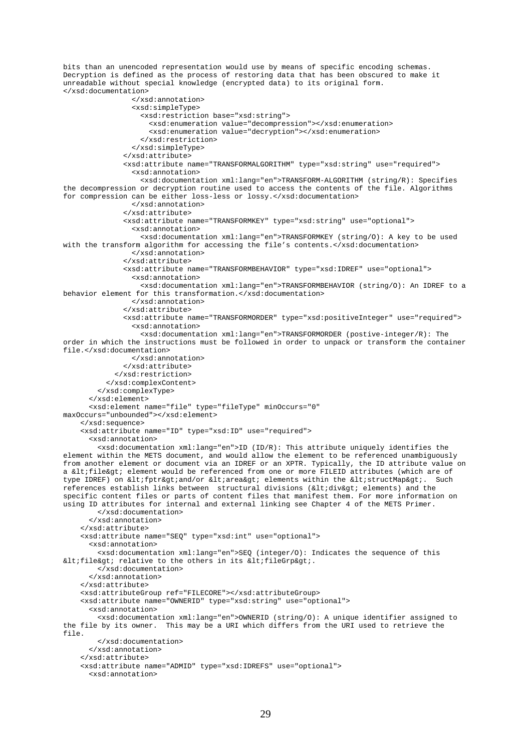bits than an unencoded representation would use by means of specific encoding schemas. Decryption is defined as the process of restoring data that has been obscured to make it unreadable without special knowledge (encrypted data) to its original form. </xsd:documentation> </xsd:annotation> <xsd:simpleType> <xsd:restriction base="xsd:string"> <xsd:enumeration value="decompression"></xsd:enumeration> <xsd:enumeration value="decryption"></xsd:enumeration> </xsd:restriction> </xsd:simpleType> </xsd:attribute> <xsd:attribute name="TRANSFORMALGORITHM" type="xsd:string" use="required"> <xsd:annotation> <xsd:documentation xml:lang="en">TRANSFORM-ALGORITHM (string/R): Specifies the decompression or decryption routine used to access the contents of the file. Algorithms for compression can be either loss-less or lossy.</xsd:documentation> </xsd:annotation> </xsd:attribute> <xsd:attribute name="TRANSFORMKEY" type="xsd:string" use="optional"> <xsd:annotation> <xsd:documentation xml:lang="en">TRANSFORMKEY (string/O): A key to be used with the transform algorithm for accessing the file's contents.</xsd:documentation> </xsd:annotation> </xsd:attribute> <xsd:attribute name="TRANSFORMBEHAVIOR" type="xsd:IDREF" use="optional"> <xsd:annotation> <xsd:documentation xml:lang="en">TRANSFORMBEHAVIOR (string/O): An IDREF to a behavior element for this transformation.</xsd:documentation> </xsd:annotation> </xsd:attribute> <xsd:attribute name="TRANSFORMORDER" type="xsd:positiveInteger" use="required"> <xsd:annotation> <xsd:documentation xml:lang="en">TRANSFORMORDER (postive-integer/R): The order in which the instructions must be followed in order to unpack or transform the container file.</xsd:documentation> </xsd:annotation> </xsd:attribute> </xsd:restriction> </xsd:complexContent> </xsd:complexType> </xsd:element> <xsd:element name="file" type="fileType" minOccurs="0" maxOccurs="unbounded"></xsd:element> </xsd:sequence> <xsd:attribute name="ID" type="xsd:ID" use="required"> <xsd:annotation> <xsd:documentation xml:lang="en">ID (ID/R): This attribute uniquely identifies the element within the METS document, and would allow the element to be referenced unambiguously from another element or document via an IDREF or an XPTR. Typically, the ID attribute value on a <file&gt; element would be referenced from one or more FILEID attributes (which are of type IDREF) on <fptr&gt;and/or &lt;area&gt; elements within the &lt;structMap&gt;. Such references establish links between structural divisions (<div&gt; elements) and the specific content files or parts of content files that manifest them. For more information on using ID attributes for internal and external linking see Chapter 4 of the METS Primer. </xsd:documentation> </xsd:annotation> </xsd:attribute> <xsd:attribute name="SEQ" type="xsd:int" use="optional"> <xsd:annotation> <xsd:documentation xml:lang="en">SEQ (integer/O): Indicates the sequence of this <file&gt; relative to the others in its &lt;fileGrp&gt;. </xsd:documentation> </xsd:annotation> </xsd:attribute> <xsd:attributeGroup ref="FILECORE"></xsd:attributeGroup> <xsd:attribute name="OWNERID" type="xsd:string" use="optional"> <xsd:annotation> <xsd:documentation xml:lang="en">OWNERID (string/O): A unique identifier assigned to the file by its owner. This may be a URI which differs from the URI used to retrieve the file. </xsd:documentation> </xsd:annotation> </xsd:attribute> <xsd:attribute name="ADMID" type="xsd:IDREFS" use="optional"> <xsd:annotation>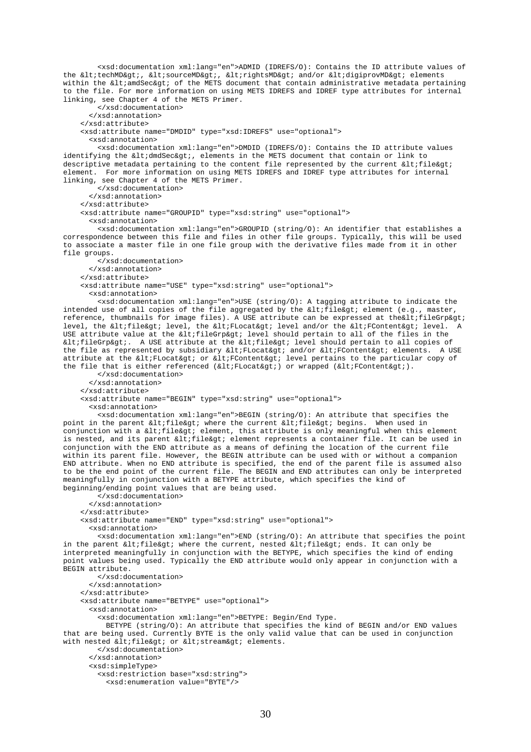<xsd:documentation xml:lang="en">ADMID (IDREFS/O): Contains the ID attribute values of the <techMD&gt;, &lt;sourceMD&gt;, &lt;rightsMD&gt; and/or &lt;digiprovMD&gt; elements within the  $\<1$ tiamdSec $\< q$ ti of the METS document that contain administrative metadata pertaining to the file. For more information on using METS IDREFS and IDREF type attributes for internal linking, see Chapter 4 of the METS Primer.

 </xsd:documentation> </xsd:annotation> </xsd:attribute> <xsd:attribute name="DMDID" type="xsd:IDREFS" use="optional"> <xsd:annotation> <xsd:documentation xml:lang="en">DMDID (IDREFS/O): Contains the ID attribute values identifying the  $\<$ idmdSec $\>$ ; elements in the METS document that contain or link to descriptive metadata pertaining to the content file represented by the current  $\<1$ ifile $\>1$ element. For more information on using METS IDREFS and IDREF type attributes for internal linking, see Chapter 4 of the METS Primer. </xsd:documentation> </xsd:annotation> </xsd:attribute> <xsd:attribute name="GROUPID" type="xsd:string" use="optional"> <xsd:annotation> <xsd:documentation xml:lang="en">GROUPID (string/O): An identifier that establishes a correspondence between this file and files in other file groups. Typically, this will be used to associate a master file in one file group with the derivative files made from it in other file groups. </xsd:documentation>

 </xsd:annotation> </xsd:attribute> <xsd:attribute name="USE" type="xsd:string" use="optional"> <xsd:annotation>

 <xsd:documentation xml:lang="en">USE (string/O): A tagging attribute to indicate the intended use of all copies of the file aggregated by the  $klt$ ; file $kgt$ ; element (e.g., master, reference, thumbnails for image files). A USE attribute can be expressed at the altifile Grp agt; level, the altifile at; level, the altiFLocatagt; level and/or the alt; FContent agt; level. A USE attribute value at the  $\<$ It;fileGrp> level should pertain to all of the files in the <fileGrp&gt;. A USE attribute at the &lt;file&gt; level should pertain to all copies of the file as represented by subsidiary <FLocat&gt; and/or &lt;FContent&gt; elements. A USE attribute at the <FLocat&gt; or &lt;FContent&gt; level pertains to the particular copy of the file that is either referenced ( $\:FLocat $\>q$ ) or wrapped ( $\:FContent $\>q$ ).$$ 

 </xsd:documentation> </xsd:annotation> </xsd:attribute> <xsd:attribute name="BEGIN" type="xsd:string" use="optional">

<xsd:annotation>

 <xsd:documentation xml:lang="en">BEGIN (string/O): An attribute that specifies the point in the parent <file&qt; where the current &lt;file&qt; begins. When used in conjunction with a <file&gt; element, this attribute is only meaningful when this element is nested, and its parent <file&gt; element represents a container file. It can be used in conjunction with the END attribute as a means of defining the location of the current file within its parent file. However, the BEGIN attribute can be used with or without a companion END attribute. When no END attribute is specified, the end of the parent file is assumed also to be the end point of the current file. The BEGIN and END attributes can only be interpreted meaningfully in conjunction with a BETYPE attribute, which specifies the kind of beginning/ending point values that are being used.

</xsd:documentation>

</xsd:annotation>

</xsd:attribute>

<xsd:attribute name="END" type="xsd:string" use="optional">

<xsd:annotation>

 <xsd:documentation xml:lang="en">END (string/O): An attribute that specifies the point in the parent <file&gt; where the current, nested &lt;file&gt; ends. It can only be interpreted meaningfully in conjunction with the BETYPE, which specifies the kind of ending point values being used. Typically the END attribute would only appear in conjunction with a BEGIN attribute.

</xsd:documentation>

</xsd:annotation>

</xsd:attribute>

<xsd:attribute name="BETYPE" use="optional">

<xsd:annotation>

<xsd:documentation xml:lang="en">BETYPE: Begin/End Type.

 BETYPE (string/O): An attribute that specifies the kind of BEGIN and/or END values that are being used. Currently BYTE is the only valid value that can be used in conjunction with nested <file&gt; or &lt;stream&gt; elements.

 </xsd:documentation> </xsd:annotation>

<xsd:simpleType>

<xsd:restriction base="xsd:string">

<xsd:enumeration value="BYTE"/>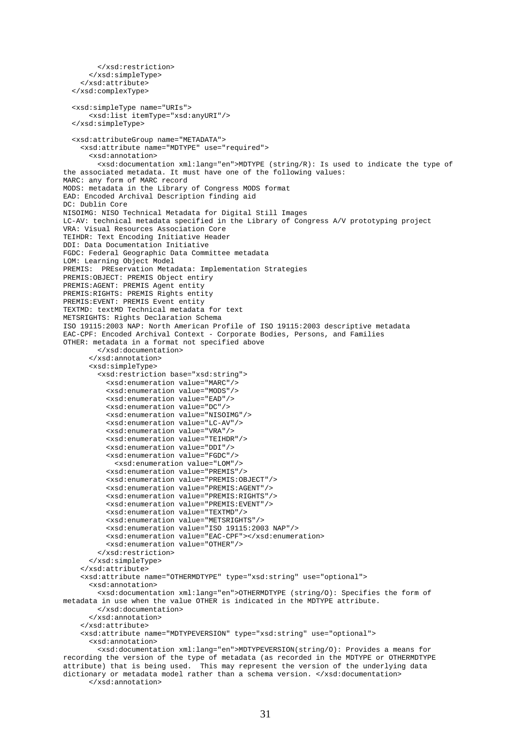```
 </xsd:restriction> 
       </xsd:simpleType> 
     </xsd:attribute> 
   </xsd:complexType> 
   <xsd:simpleType name="URIs"> 
       <xsd:list itemType="xsd:anyURI"/> 
   </xsd:simpleType> 
   <xsd:attributeGroup name="METADATA"> 
     <xsd:attribute name="MDTYPE" use="required"> 
       <xsd:annotation> 
         <xsd:documentation xml:lang="en">MDTYPE (string/R): Is used to indicate the type of 
the associated metadata. It must have one of the following values: 
MARC: any form of MARC record 
MODS: metadata in the Library of Congress MODS format 
EAD: Encoded Archival Description finding aid 
DC: Dublin Core 
NISOIMG: NISO Technical Metadata for Digital Still Images 
LC-AV: technical metadata specified in the Library of Congress A/V prototyping project 
VRA: Visual Resources Association Core 
TEIHDR: Text Encoding Initiative Header 
DDI: Data Documentation Initiative 
FGDC: Federal Geographic Data Committee metadata 
LOM: Learning Object Model 
PREMIS: PREservation Metadata: Implementation Strategies 
PREMIS:OBJECT: PREMIS Object entiry 
PREMIS:AGENT: PREMIS Agent entity 
PREMIS:RIGHTS: PREMIS Rights entity 
PREMIS:EVENT: PREMIS Event entity 
TEXTMD: textMD Technical metadata for text 
METSRIGHTS: Rights Declaration Schema 
ISO 19115:2003 NAP: North American Profile of ISO 19115:2003 descriptive metadata 
EAC-CPF: Encoded Archival Context - Corporate Bodies, Persons, and Families 
OTHER: metadata in a format not specified above 
         </xsd:documentation> 
       </xsd:annotation> 
       <xsd:simpleType> 
         <xsd:restriction base="xsd:string"> 
            <xsd:enumeration value="MARC"/> 
            <xsd:enumeration value="MODS"/> 
           <xsd:enumeration value="EAD"/> 
           <xsd:enumeration value="DC"/> 
           <xsd:enumeration value="NISOIMG"/> 
           <xsd:enumeration value="LC-AV"/> 
           <xsd:enumeration value="VRA"/> 
           <xsd:enumeration value="TEIHDR"/> 
           <xsd:enumeration value="DDI"/> 
            <xsd:enumeration value="FGDC"/> 
             <xsd:enumeration value="LOM"/> 
           <xsd:enumeration value="PREMIS"/> 
           <xsd:enumeration value="PREMIS:OBJECT"/> 
           <xsd:enumeration value="PREMIS:AGENT"/> 
            <xsd:enumeration value="PREMIS:RIGHTS"/> 
           <xsd:enumeration value="PREMIS:EVENT"/> 
           <xsd:enumeration value="TEXTMD"/> 
            <xsd:enumeration value="METSRIGHTS"/> 
           <xsd:enumeration value="ISO 19115:2003 NAP"/> 
           <xsd:enumeration value="EAC-CPF"></xsd:enumeration> 
           <xsd:enumeration value="OTHER"/> 
         </xsd:restriction> 
       </xsd:simpleType> 
     </xsd:attribute> 
     <xsd:attribute name="OTHERMDTYPE" type="xsd:string" use="optional"> 
       <xsd:annotation> 
         <xsd:documentation xml:lang="en">OTHERMDTYPE (string/O): Specifies the form of 
metadata in use when the value OTHER is indicated in the MDTYPE attribute. 
         </xsd:documentation> 
       </xsd:annotation> 
     </xsd:attribute> 
     <xsd:attribute name="MDTYPEVERSION" type="xsd:string" use="optional"> 
       <xsd:annotation> 
         <xsd:documentation xml:lang="en">MDTYPEVERSION(string/O): Provides a means for 
recording the version of the type of metadata (as recorded in the MDTYPE or OTHERMDTYPE 
attribute) that is being used. This may represent the version of the underlying data 
dictionary or metadata model rather than a schema version. </xsd:documentation>
```
</xsd:annotation>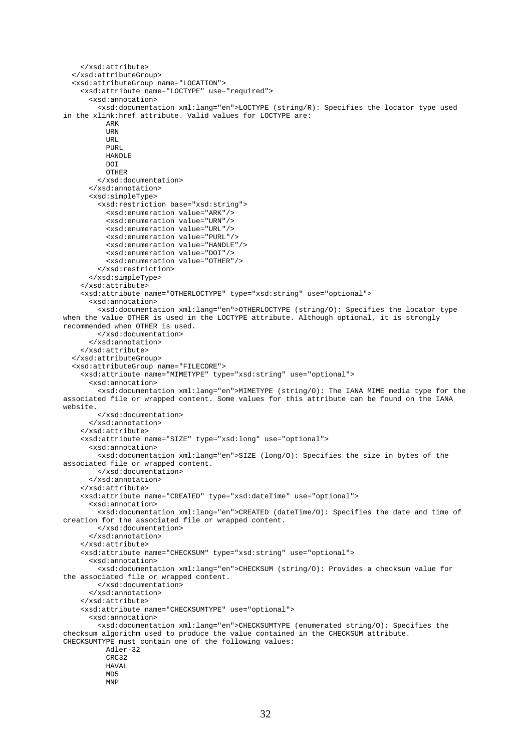```
 </xsd:attribute> 
   </xsd:attributeGroup> 
   <xsd:attributeGroup name="LOCATION"> 
     <xsd:attribute name="LOCTYPE" use="required"> 
       <xsd:annotation> 
         <xsd:documentation xml:lang="en">LOCTYPE (string/R): Specifies the locator type used 
in the xlink:href attribute. Valid values for LOCTYPE are: 
           ARK 
          URN
          TIRT.
           PURL 
           HANDLE 
          DT OTHER 
         </xsd:documentation> 
       </xsd:annotation> 
       <xsd:simpleType> 
         <xsd:restriction base="xsd:string"> 
           <xsd:enumeration value="ARK"/> 
           <xsd:enumeration value="URN"/> 
           <xsd:enumeration value="URL"/> 
           <xsd:enumeration value="PURL"/> 
           <xsd:enumeration value="HANDLE"/> 
           <xsd:enumeration value="DOI"/> 
           <xsd:enumeration value="OTHER"/> 
         </xsd:restriction> 
       </xsd:simpleType> 
     </xsd:attribute> 
     <xsd:attribute name="OTHERLOCTYPE" type="xsd:string" use="optional"> 
       <xsd:annotation> 
         <xsd:documentation xml:lang="en">OTHERLOCTYPE (string/O): Specifies the locator type 
when the value OTHER is used in the LOCTYPE attribute. Although optional, it is strongly 
recommended when OTHER is used. 
         </xsd:documentation> 
       </xsd:annotation> 
     </xsd:attribute> 
   </xsd:attributeGroup> 
   <xsd:attributeGroup name="FILECORE"> 
     <xsd:attribute name="MIMETYPE" type="xsd:string" use="optional"> 
       <xsd:annotation> 
         <xsd:documentation xml:lang="en">MIMETYPE (string/O): The IANA MIME media type for the 
associated file or wrapped content. Some values for this attribute can be found on the IANA 
website. 
         </xsd:documentation> 
       </xsd:annotation> 
     </xsd:attribute> 
     <xsd:attribute name="SIZE" type="xsd:long" use="optional"> 
       <xsd:annotation> 
         <xsd:documentation xml:lang="en">SIZE (long/O): Specifies the size in bytes of the 
associated file or wrapped content. 
         </xsd:documentation> 
       </xsd:annotation> 
     </xsd:attribute> 
     <xsd:attribute name="CREATED" type="xsd:dateTime" use="optional"> 
       <xsd:annotation> 
         <xsd:documentation xml:lang="en">CREATED (dateTime/O): Specifies the date and time of 
creation for the associated file or wrapped content. 
         </xsd:documentation> 
       </xsd:annotation> 
     </xsd:attribute> 
     <xsd:attribute name="CHECKSUM" type="xsd:string" use="optional"> 
       <xsd:annotation> 
         <xsd:documentation xml:lang="en">CHECKSUM (string/O): Provides a checksum value for 
the associated file or wrapped content. 
         </xsd:documentation> 
       </xsd:annotation> 
     </xsd:attribute> 
     <xsd:attribute name="CHECKSUMTYPE" use="optional"> 
       <xsd:annotation> 
         <xsd:documentation xml:lang="en">CHECKSUMTYPE (enumerated string/O): Specifies the 
checksum algorithm used to produce the value contained in the CHECKSUM attribute. 
CHECKSUMTYPE must contain one of the following values: 
           Adler-32 
          CRC32
          HAVAL
           MD5 
           MNP
```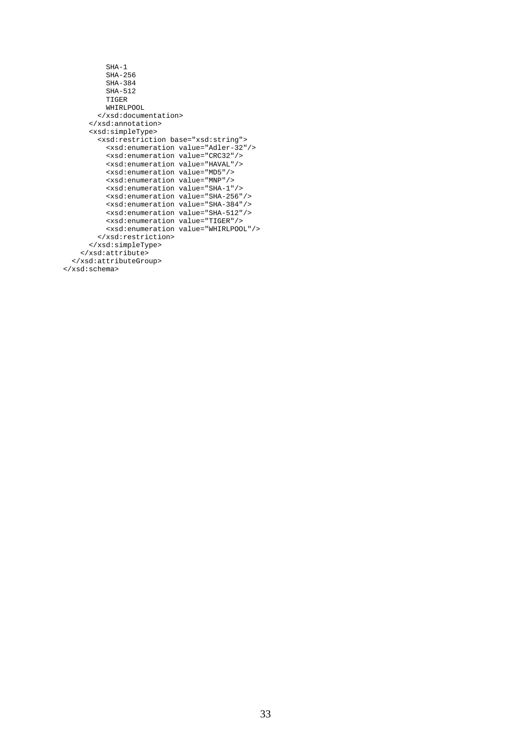```
 SHA-1 
            SHA-256 
            SHA-384 
            SHA-512 
            TIGER 
            WHIRLPOOL 
          </xsd:documentation> 
       </xsd:annotation> 
       <xsd:simpleType> 
          <xsd:restriction base="xsd:string"> 
            <xsd:enumeration value="Adler-32"/> 
            <xsd:enumeration value="CRC32"/> 
            <xsd:enumeration value="HAVAL"/> 
            <xsd:enumeration value="MD5"/> 
            <xsd:enumeration value="MNP"/> 
            <xsd:enumeration value="SHA-1"/> 
            <xsd:enumeration value="SHA-256"/> 
            <xsd:enumeration value="SHA-384"/> 
            <xsd:enumeration value="SHA-512"/> 
            <xsd:enumeration value="TIGER"/> 
            <xsd:enumeration value="WHIRLPOOL"/> 
         \texttt{<} / \texttt{xsd} \texttt{:restriction} </xsd:simpleType> 
     </xsd:attribute> 
   </xsd:attributeGroup> 
</xsd:schema>
```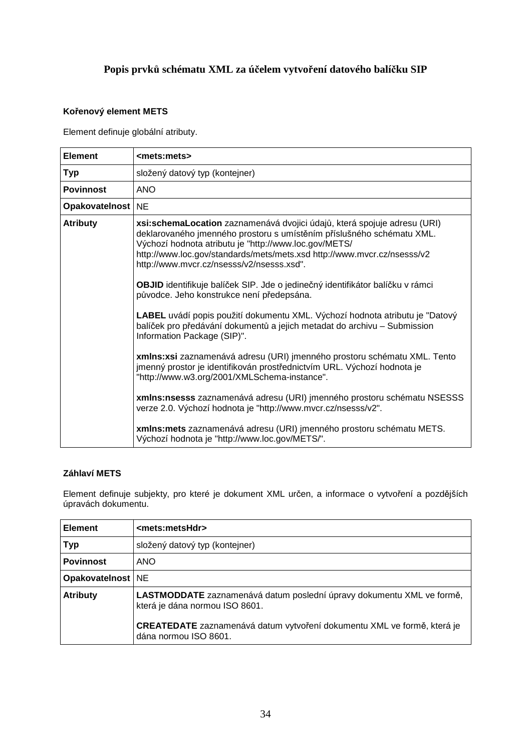# **Popis prvků schématu XML za účelem vytvoření datového balíčku SIP**

#### **Kořenový element METS**

Element definuje globální atributy.

| <b>Element</b>      | <mets:mets></mets:mets>                                                                                                                                                                                                                                                                                                                                                                                                                                                                                                                                                                                                                                                                                                                                                                                                                                                                                                                                                                                                                                                                                                                   |
|---------------------|-------------------------------------------------------------------------------------------------------------------------------------------------------------------------------------------------------------------------------------------------------------------------------------------------------------------------------------------------------------------------------------------------------------------------------------------------------------------------------------------------------------------------------------------------------------------------------------------------------------------------------------------------------------------------------------------------------------------------------------------------------------------------------------------------------------------------------------------------------------------------------------------------------------------------------------------------------------------------------------------------------------------------------------------------------------------------------------------------------------------------------------------|
| Typ                 | složený datový typ (kontejner)                                                                                                                                                                                                                                                                                                                                                                                                                                                                                                                                                                                                                                                                                                                                                                                                                                                                                                                                                                                                                                                                                                            |
| <b>Povinnost</b>    | <b>ANO</b>                                                                                                                                                                                                                                                                                                                                                                                                                                                                                                                                                                                                                                                                                                                                                                                                                                                                                                                                                                                                                                                                                                                                |
| Opakovatelnost   NE |                                                                                                                                                                                                                                                                                                                                                                                                                                                                                                                                                                                                                                                                                                                                                                                                                                                                                                                                                                                                                                                                                                                                           |
| <b>Atributy</b>     | xsi:schemaLocation zaznamenává dvojici údajů, která spojuje adresu (URI)<br>deklarovaného jmenného prostoru s umístěním příslušného schématu XML.<br>Výchozí hodnota atributu je "http://www.loc.gov/METS/<br>http://www.loc.gov/standards/mets/mets.xsd http://www.mvcr.cz/nsesss/v2<br>http://www.mvcr.cz/nsesss/v2/nsesss.xsd".<br>OBJID identifikuje balíček SIP. Jde o jedinečný identifikátor balíčku v rámci<br>původce. Jeho konstrukce není předepsána.<br>LABEL uvádí popis použití dokumentu XML. Výchozí hodnota atributu je "Datový<br>balíček pro předávání dokumentů a jejich metadat do archivu - Submission<br>Information Package (SIP)".<br>xmlns:xsi zaznamenává adresu (URI) jmenného prostoru schématu XML. Tento<br>jmenný prostor je identifikován prostřednictvím URL. Výchozí hodnota je<br>"http://www.w3.org/2001/XMLSchema-instance".<br>xmlns:nsesss zaznamenává adresu (URI) jmenného prostoru schématu NSESSS<br>verze 2.0. Výchozí hodnota je "http://www.mvcr.cz/nsesss/v2".<br>xmlns: mets zaznamenává adresu (URI) jmenného prostoru schématu METS.<br>Výchozí hodnota je "http://www.loc.gov/METS/". |

#### **Záhlaví METS**

Element definuje subjekty, pro které je dokument XML určen, a informace o vytvoření a pozdějších úpravách dokumentu.

| <b>Element</b>                                                                                                             | <mets:metshdr></mets:metshdr>                                                                           |
|----------------------------------------------------------------------------------------------------------------------------|---------------------------------------------------------------------------------------------------------|
| <b>Typ</b>                                                                                                                 | složený datový typ (kontejner)                                                                          |
| <b>Povinnost</b>                                                                                                           | <b>ANO</b>                                                                                              |
| Opakovatelnost   NE                                                                                                        |                                                                                                         |
| <b>Atributy</b><br>LASTMODDATE zaznamenává datum poslední úpravy dokumentu XML ve formě,<br>která je dána normou ISO 8601. |                                                                                                         |
|                                                                                                                            | <b>CREATEDATE</b> zaznamenává datum vytvoření dokumentu XML ve formě, která je<br>dána normou ISO 8601. |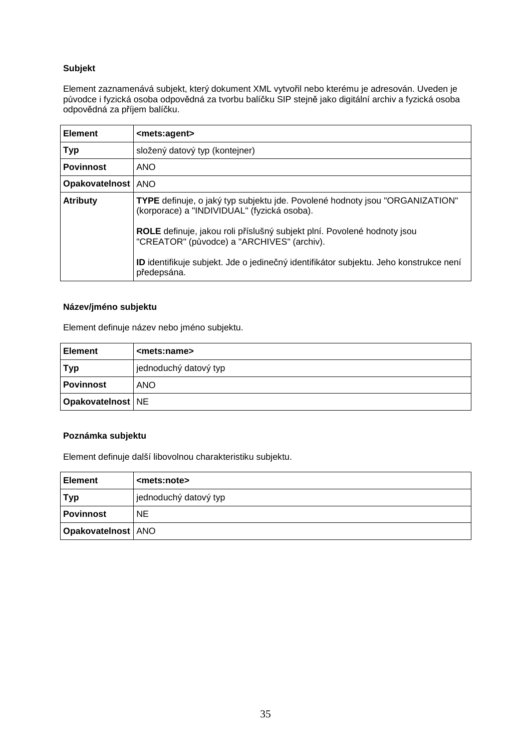## **Subjekt**

Element zaznamenává subjekt, který dokument XML vytvořil nebo kterému je adresován. Uveden je původce i fyzická osoba odpovědná za tvorbu balíčku SIP stejně jako digitální archiv a fyzická osoba odpovědná za příjem balíčku.

| <b>Element</b>       | <mets:agent></mets:agent>                                                                                                   |
|----------------------|-----------------------------------------------------------------------------------------------------------------------------|
| <b>Typ</b>           | složený datový typ (kontejner)                                                                                              |
| <b>Povinnost</b>     | <b>ANO</b>                                                                                                                  |
| Opakovatelnost   ANO |                                                                                                                             |
| <b>Atributy</b>      | TYPE definuje, o jaký typ subjektu jde. Povolené hodnoty jsou "ORGANIZATION"<br>(korporace) a "INDIVIDUAL" (fyzická osoba). |
|                      | ROLE definuje, jakou roli příslušný subjekt plní. Povolené hodnoty jsou<br>"CREATOR" (původce) a "ARCHIVES" (archiv).       |
|                      | ID identifikuje subjekt. Jde o jedinečný identifikátor subjektu. Jeho konstrukce není<br>předepsána.                        |

#### **Název/jméno subjektu**

Element definuje název nebo jméno subjektu.

| l Element           | <mets:name></mets:name> |
|---------------------|-------------------------|
| <b>Typ</b>          | jednoduchý datový typ   |
| <b>Povinnost</b>    | <b>ANO</b>              |
| Opakovatelnost   NE |                         |

#### **Poznámka subjektu**

Element definuje další libovolnou charakteristiku subjektu.

| <b>Element</b>              | <mets:note></mets:note> |
|-----------------------------|-------------------------|
| <b>Typ</b>                  | jednoduchý datový typ   |
| <b>Povinnost</b>            | <b>NE</b>               |
| <b>Opakovatelnost</b>   ANO |                         |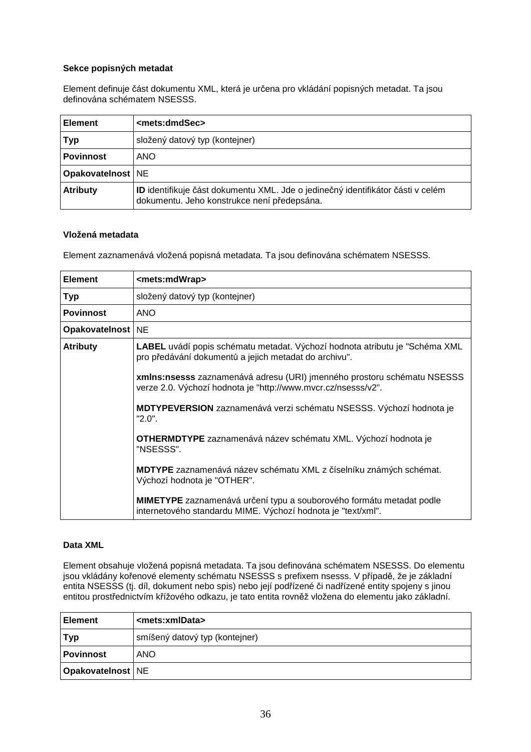#### **Sekce popisných metadat**

Element definuje část dokumentu XML, která je určena pro vkládání popisných metadat. Ta jsou definována schématem NSESSS.

| <b>Element</b>      | <mets:dmdsec></mets:dmdsec>                                                                                                           |
|---------------------|---------------------------------------------------------------------------------------------------------------------------------------|
| Typ                 | složený datový typ (kontejner)                                                                                                        |
| <b>Povinnost</b>    | <b>ANO</b>                                                                                                                            |
| Opakovatelnost   NE |                                                                                                                                       |
| <b>Atributy</b>     | <b>ID</b> identifikuje část dokumentu XML. Jde o jedinečný identifikátor části v celém<br>dokumentu. Jeho konstrukce není předepsána. |

#### **Vložená metadata**

Element zaznamenává vložená popisná metadata. Ta jsou definována schématem NSESSS.

| <b>Element</b>      | <mets:mdwrap></mets:mdwrap>                                                                                                                 |
|---------------------|---------------------------------------------------------------------------------------------------------------------------------------------|
| <b>Typ</b>          | složený datový typ (kontejner)                                                                                                              |
| <b>Povinnost</b>    | <b>ANO</b>                                                                                                                                  |
| Opakovatelnost   NE |                                                                                                                                             |
| <b>Atributy</b>     | LABEL uvádí popis schématu metadat. Výchozí hodnota atributu je "Schéma XML<br>pro předávání dokumentů a jejich metadat do archivu".        |
|                     | xmlns:nsesss zaznamenává adresu (URI) jmenného prostoru schématu NSESSS<br>verze 2.0. Výchozí hodnota je "http://www.mvcr.cz/nsesss/v2".    |
|                     | <b>MDTYPEVERSION</b> zaznamenává verzi schématu NSESSS. Výchozí hodnota je<br>$"2.0"$ .                                                     |
|                     | <b>OTHERMDTYPE</b> zaznamenává název schématu XML. Výchozí hodnota je<br>"NSESSS".                                                          |
|                     | MDTYPE zaznamenává název schématu XML z číselníku známých schémat.<br>Výchozí hodnota je "OTHER".                                           |
|                     | <b>MIMETYPE</b> zaznamenává určení typu a souborového formátu metadat podle<br>internetového standardu MIME. Výchozí hodnota je "text/xml". |

#### **Data XML**

Element obsahuje vložená popisná metadata. Ta jsou definována schématem NSESSS. Do elementu jsou vkládány kořenové elementy schématu NSESSS s prefixem nsesss. V případě, že je základní entita NSESSS (tj. díl, dokument nebo spis) nebo její podřízené či nadřízené entity spojeny s jinou entitou prostřednictvím křížového odkazu, je tato entita rovněž vložena do elementu jako základní.

| <b>Element</b>      | <mets:xmldata></mets:xmldata>  |
|---------------------|--------------------------------|
| <b>Typ</b>          | smíšený datový typ (kontejner) |
| Povinnost           | <b>ANO</b>                     |
| Opakovatelnost   NE |                                |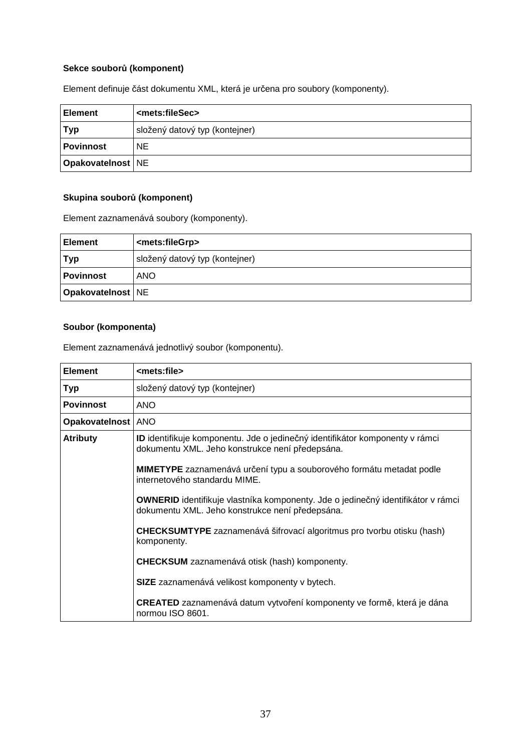## **Sekce souborů (komponent)**

|                |                               |  |  | . . |
|----------------|-------------------------------|--|--|-----|
| <b>Element</b> | <mets:filesec></mets:filesec> |  |  |     |
|                |                               |  |  |     |

Element definuje část dokumentu XML, která je určena pro soubory (komponenty).

| <b>Element</b>      | <mets:filesec></mets:filesec>  |
|---------------------|--------------------------------|
| <b>Typ</b>          | složený datový typ (kontejner) |
| <b>Povinnost</b>    | NE.                            |
| Opakovatelnost   NE |                                |

# **Skupina souborů (komponent)**

Element zaznamenává soubory (komponenty).

| <b>Element</b>      | <mets:filegrp></mets:filegrp>  |
|---------------------|--------------------------------|
| <b>Typ</b>          | složený datový typ (kontejner) |
| <b>Povinnost</b>    | <b>ANO</b>                     |
| Opakovatelnost   NE |                                |

#### **Soubor (komponenta)**

Element zaznamenává jednotlivý soubor (komponentu).

| <b>Element</b>       | <mets:file></mets:file>                                                                                                                    |
|----------------------|--------------------------------------------------------------------------------------------------------------------------------------------|
| <b>Typ</b>           | složený datový typ (kontejner)                                                                                                             |
| <b>Povinnost</b>     | <b>ANO</b>                                                                                                                                 |
| Opakovatelnost   ANO |                                                                                                                                            |
| <b>Atributy</b>      | ID identifikuje komponentu. Jde o jedinečný identifikátor komponenty v rámci<br>dokumentu XML. Jeho konstrukce není předepsána.            |
|                      | <b>MIMETYPE</b> zaznamenává určení typu a souborového formátu metadat podle<br>internetového standardu MIME.                               |
|                      | <b>OWNERID</b> identifikuje vlastníka komponenty. Jde o jedinečný identifikátor v rámci<br>dokumentu XML. Jeho konstrukce není předepsána. |
|                      | CHECKSUMTYPE zaznamenává šifrovací algoritmus pro tvorbu otisku (hash)<br>komponenty.                                                      |
|                      | <b>CHECKSUM</b> zaznamenává otisk (hash) komponenty.                                                                                       |
|                      | SIZE zaznamenává velikost komponenty v bytech.                                                                                             |
|                      | <b>CREATED</b> zaznamenává datum vytvoření komponenty ve formě, která je dána<br>normou ISO 8601.                                          |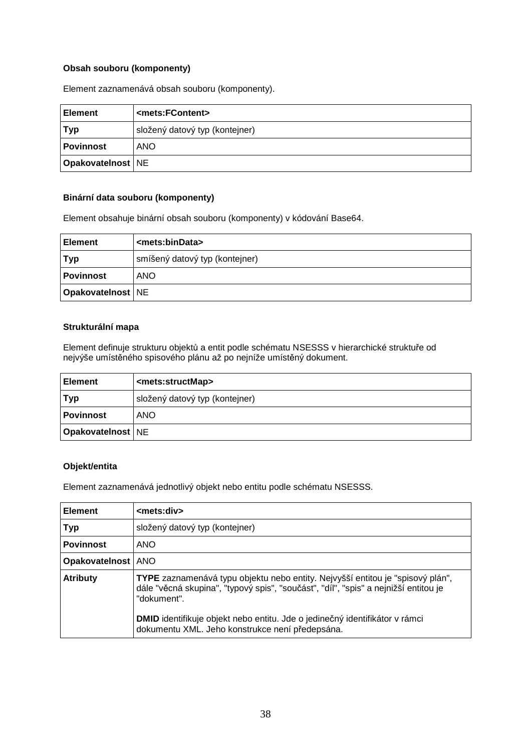#### **Obsah souboru (komponenty)**

Element zaznamenává obsah souboru (komponenty).

| ∣ Element           | <mets:fcontent></mets:fcontent> |
|---------------------|---------------------------------|
| Typ                 | složený datový typ (kontejner)  |
| Povinnost           | <b>ANO</b>                      |
| Opakovatelnost   NE |                                 |

#### **Binární data souboru (komponenty)**

Element obsahuje binární obsah souboru (komponenty) v kódování Base64.

| <b>Element</b>             | <mets:bindata></mets:bindata>  |
|----------------------------|--------------------------------|
| <b>Typ</b>                 | smíšený datový typ (kontejner) |
| <b>Povinnost</b>           | <b>ANO</b>                     |
| <b>Opakovatelnost   NE</b> |                                |

#### **Strukturální mapa**

Element definuje strukturu objektů a entit podle schématu NSESSS v hierarchické struktuře od nejvýše umístěného spisového plánu až po nejníže umístěný dokument.

| <b>Element</b>      | <mets:structmap></mets:structmap> |
|---------------------|-----------------------------------|
| <b>Typ</b>          | složený datový typ (kontejner)    |
| <b>Povinnost</b>    | <b>ANO</b>                        |
| Opakovatelnost   NE |                                   |

#### **Objekt/entita**

Element zaznamenává jednotlivý objekt nebo entitu podle schématu NSESSS.

| <b>Element</b>       | <mets:div></mets:div>                                                                                                                                                                                                                                                                                                         |
|----------------------|-------------------------------------------------------------------------------------------------------------------------------------------------------------------------------------------------------------------------------------------------------------------------------------------------------------------------------|
| <b>Typ</b>           | složený datový typ (kontejner)                                                                                                                                                                                                                                                                                                |
| <b>Povinnost</b>     | <b>ANO</b>                                                                                                                                                                                                                                                                                                                    |
| Opakovatelnost   ANO |                                                                                                                                                                                                                                                                                                                               |
| <b>Atributy</b>      | TYPE zaznamenává typu objektu nebo entity. Nejvyšší entitou je "spisový plán",<br>dále "věcná skupina", "typový spis", "součást", "díl", "spis" a nejnižší entitou je<br>"dokument".<br><b>DMID</b> identifikuje objekt nebo entitu. Jde o jedinečný identifikátor v rámci<br>dokumentu XML. Jeho konstrukce není předepsána. |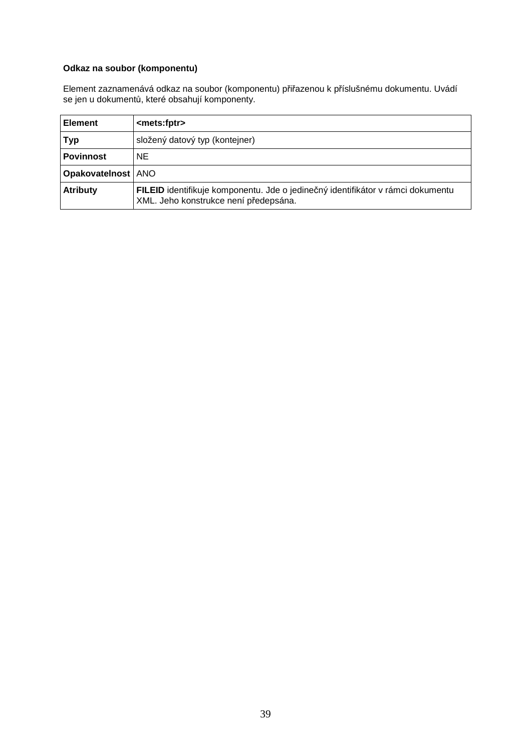# **Odkaz na soubor (komponentu)**

Element zaznamenává odkaz na soubor (komponentu) přiřazenou k příslušnému dokumentu. Uvádí se jen u dokumentů, které obsahují komponenty.

| <b>Element</b>       | <mets:fptr></mets:fptr>                                                                                                  |
|----------------------|--------------------------------------------------------------------------------------------------------------------------|
| Typ                  | složený datový typ (kontejner)                                                                                           |
| <b>Povinnost</b>     | <b>NE</b>                                                                                                                |
| Opakovatelnost   ANO |                                                                                                                          |
| <b>Atributy</b>      | FILEID identifikuje komponentu. Jde o jedinečný identifikátor v rámci dokumentu<br>XML. Jeho konstrukce není předepsána. |